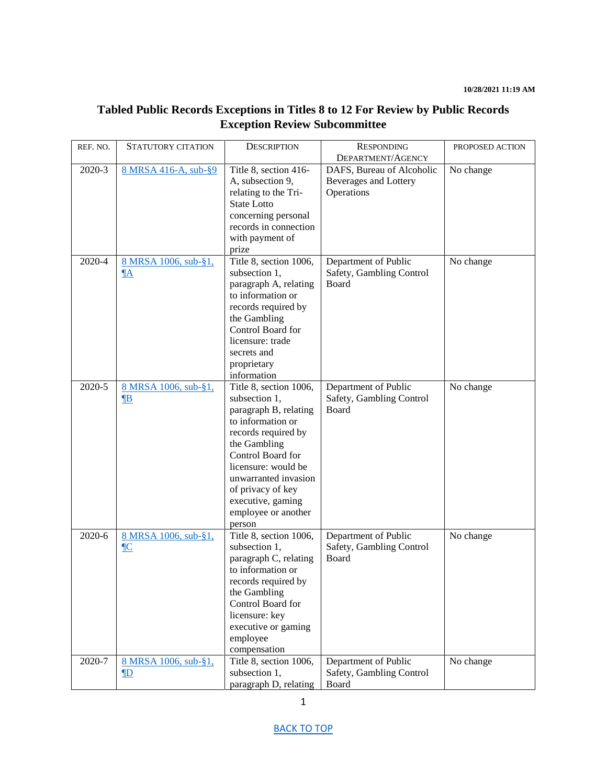# <span id="page-0-0"></span>**Tabled Public Records Exceptions in Titles 8 to 12 For Review by Public Records Exception Review Subcommittee**

| REF. NO. | <b>STATUTORY CITATION</b>                        | <b>DESCRIPTION</b>                                                                                                                                                                                                                                                          | <b>RESPONDING</b>                                                | PROPOSED ACTION |
|----------|--------------------------------------------------|-----------------------------------------------------------------------------------------------------------------------------------------------------------------------------------------------------------------------------------------------------------------------------|------------------------------------------------------------------|-----------------|
|          |                                                  |                                                                                                                                                                                                                                                                             | DEPARTMENT/AGENCY                                                |                 |
| 2020-3   | 8 MRSA 416-A, sub-§9                             | Title 8, section 416-<br>A, subsection 9,<br>relating to the Tri-<br><b>State Lotto</b><br>concerning personal<br>records in connection<br>with payment of<br>prize                                                                                                         | DAFS, Bureau of Alcoholic<br>Beverages and Lottery<br>Operations | No change       |
| 2020-4   | 8 MRSA 1006, sub-§1,<br>$\underline{\mathbb{A}}$ | Title 8, section 1006,<br>subsection 1,<br>paragraph A, relating<br>to information or<br>records required by<br>the Gambling<br>Control Board for<br>licensure: trade<br>secrets and<br>proprietary<br>information                                                          | Department of Public<br>Safety, Gambling Control<br>Board        | No change       |
| 2020-5   | 8 MRSA 1006, sub-§1,<br>$\mathbf{B}$             | Title 8, section 1006,<br>subsection 1,<br>paragraph B, relating<br>to information or<br>records required by<br>the Gambling<br>Control Board for<br>licensure: would be<br>unwarranted invasion<br>of privacy of key<br>executive, gaming<br>employee or another<br>person | Department of Public<br>Safety, Gambling Control<br>Board        | No change       |
| 2020-6   | 8 MRSA 1006, sub-§1,<br>$\underline{\mathbb{C}}$ | Title 8, section 1006,<br>subsection 1,<br>paragraph C, relating<br>to information or<br>records required by<br>the Gambling<br>Control Board for<br>licensure: key<br>executive or gaming<br>employee<br>compensation                                                      | Department of Public<br>Safety, Gambling Control<br>Board        | No change       |
| 2020-7   | 8 MRSA 1006, sub-§1,<br>$\mathbf{D}$             | Title 8, section 1006,<br>subsection 1,<br>paragraph D, relating                                                                                                                                                                                                            | Department of Public<br>Safety, Gambling Control<br>Board        | No change       |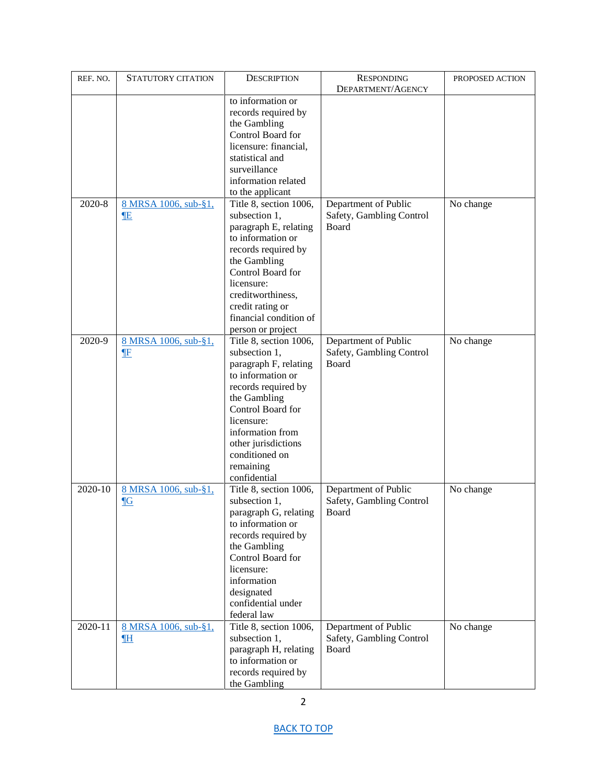| REF. NO. | <b>STATUTORY CITATION</b>         | <b>DESCRIPTION</b>                                                                                                                                                                                                                                        | <b>RESPONDING</b>                                         | PROPOSED ACTION |
|----------|-----------------------------------|-----------------------------------------------------------------------------------------------------------------------------------------------------------------------------------------------------------------------------------------------------------|-----------------------------------------------------------|-----------------|
|          |                                   |                                                                                                                                                                                                                                                           | DEPARTMENT/AGENCY                                         |                 |
|          |                                   | to information or<br>records required by<br>the Gambling<br>Control Board for<br>licensure: financial,<br>statistical and<br>surveillance                                                                                                                 |                                                           |                 |
|          |                                   | information related                                                                                                                                                                                                                                       |                                                           |                 |
| 2020-8   | 8 MRSA 1006, sub-§1,<br><b>IE</b> | to the applicant<br>Title 8, section 1006,<br>subsection 1,<br>paragraph E, relating<br>to information or<br>records required by<br>the Gambling<br>Control Board for<br>licensure:<br>creditworthiness,<br>credit rating or<br>financial condition of    | Department of Public<br>Safety, Gambling Control<br>Board | No change       |
|          |                                   | person or project                                                                                                                                                                                                                                         |                                                           |                 |
| 2020-9   | 8 MRSA 1006, sub-§1,<br><b>IF</b> | Title 8, section 1006,<br>subsection 1,<br>paragraph F, relating<br>to information or<br>records required by<br>the Gambling<br>Control Board for<br>licensure:<br>information from<br>other jurisdictions<br>conditioned on<br>remaining<br>confidential | Department of Public<br>Safety, Gambling Control<br>Board | No change       |
| 2020-10  | 8 MRSA 1006, sub-§1,<br>$\P G$    | Title 8, section 1006,<br>subsection 1,<br>paragraph G, relating<br>to information or<br>records required by<br>the Gambling<br>Control Board for<br>licensure:<br>information<br>designated<br>confidential under<br>federal law                         | Department of Public<br>Safety, Gambling Control<br>Board | No change       |
| 2020-11  | 8 MRSA 1006, sub-§1,<br><b>IH</b> | Title 8, section 1006,<br>subsection 1,<br>paragraph H, relating<br>to information or<br>records required by<br>the Gambling                                                                                                                              | Department of Public<br>Safety, Gambling Control<br>Board | No change       |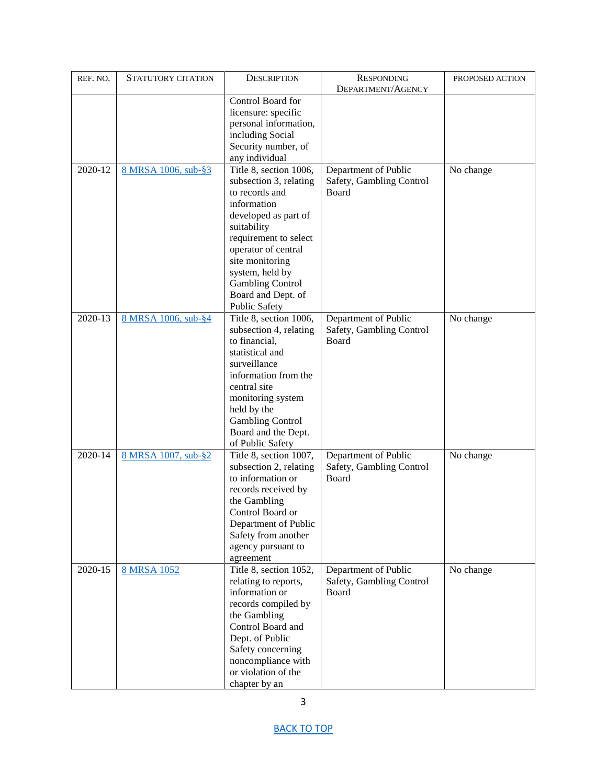| REF. NO. | STATUTORY CITATION  | <b>DESCRIPTION</b>                           | <b>RESPONDING</b>        | PROPOSED ACTION |
|----------|---------------------|----------------------------------------------|--------------------------|-----------------|
|          |                     |                                              | DEPARTMENT/AGENCY        |                 |
|          |                     | Control Board for<br>licensure: specific     |                          |                 |
|          |                     | personal information,                        |                          |                 |
|          |                     | including Social                             |                          |                 |
|          |                     | Security number, of                          |                          |                 |
|          |                     | any individual                               |                          |                 |
| 2020-12  | 8 MRSA 1006, sub-§3 | Title 8, section 1006,                       | Department of Public     | No change       |
|          |                     | subsection 3, relating                       | Safety, Gambling Control |                 |
|          |                     | to records and                               | Board                    |                 |
|          |                     | information                                  |                          |                 |
|          |                     | developed as part of                         |                          |                 |
|          |                     | suitability                                  |                          |                 |
|          |                     | requirement to select<br>operator of central |                          |                 |
|          |                     | site monitoring                              |                          |                 |
|          |                     | system, held by                              |                          |                 |
|          |                     | <b>Gambling Control</b>                      |                          |                 |
|          |                     | Board and Dept. of                           |                          |                 |
|          |                     | <b>Public Safety</b>                         |                          |                 |
| 2020-13  | 8 MRSA 1006, sub-§4 | Title 8, section 1006,                       | Department of Public     | No change       |
|          |                     | subsection 4, relating                       | Safety, Gambling Control |                 |
|          |                     | to financial,                                | Board                    |                 |
|          |                     | statistical and                              |                          |                 |
|          |                     | surveillance<br>information from the         |                          |                 |
|          |                     | central site                                 |                          |                 |
|          |                     | monitoring system                            |                          |                 |
|          |                     | held by the                                  |                          |                 |
|          |                     | <b>Gambling Control</b>                      |                          |                 |
|          |                     | Board and the Dept.                          |                          |                 |
|          |                     | of Public Safety                             |                          |                 |
| 2020-14  | 8 MRSA 1007, sub-§2 | Title 8, section 1007,                       | Department of Public     | No change       |
|          |                     | subsection 2, relating                       | Safety, Gambling Control |                 |
|          |                     | to information or                            | Board                    |                 |
|          |                     | records received by                          |                          |                 |
|          |                     | the Gambling<br>Control Board or             |                          |                 |
|          |                     | Department of Public                         |                          |                 |
|          |                     | Safety from another                          |                          |                 |
|          |                     | agency pursuant to                           |                          |                 |
|          |                     | agreement                                    |                          |                 |
| 2020-15  | 8 MRSA 1052         | Title 8, section 1052,                       | Department of Public     | No change       |
|          |                     | relating to reports,                         | Safety, Gambling Control |                 |
|          |                     | information or                               | Board                    |                 |
|          |                     | records compiled by                          |                          |                 |
|          |                     | the Gambling                                 |                          |                 |
|          |                     | Control Board and<br>Dept. of Public         |                          |                 |
|          |                     | Safety concerning                            |                          |                 |
|          |                     | noncompliance with                           |                          |                 |
|          |                     | or violation of the                          |                          |                 |
|          |                     | chapter by an                                |                          |                 |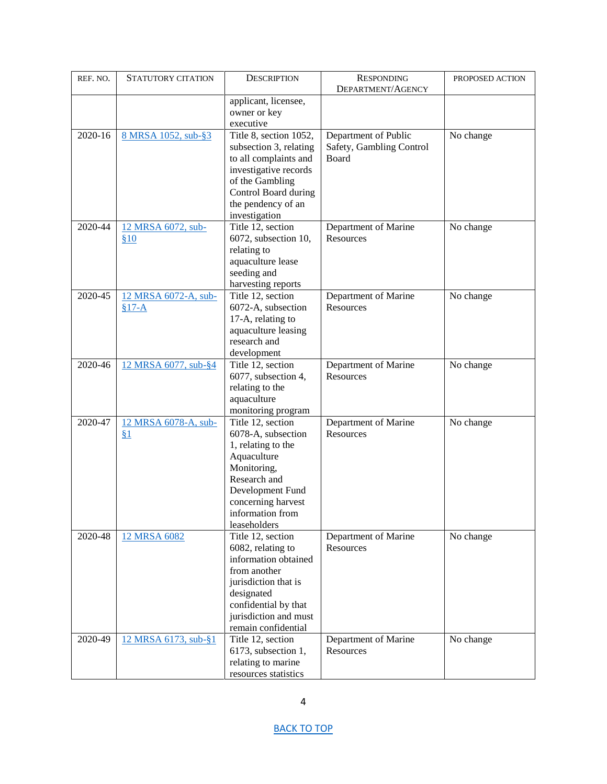| REF. NO. | <b>STATUTORY CITATION</b>       | <b>DESCRIPTION</b>                                                                                                                                                                           | <b>RESPONDING</b>                                         | PROPOSED ACTION |
|----------|---------------------------------|----------------------------------------------------------------------------------------------------------------------------------------------------------------------------------------------|-----------------------------------------------------------|-----------------|
|          |                                 | applicant, licensee,<br>owner or key<br>executive                                                                                                                                            | DEPARTMENT/AGENCY                                         |                 |
| 2020-16  | 8 MRSA 1052, sub-§3             | Title 8, section 1052,<br>subsection 3, relating<br>to all complaints and<br>investigative records<br>of the Gambling<br>Control Board during<br>the pendency of an<br>investigation         | Department of Public<br>Safety, Gambling Control<br>Board | No change       |
| 2020-44  | 12 MRSA 6072, sub-<br>\$10      | Title 12, section<br>6072, subsection 10,<br>relating to<br>aquaculture lease<br>seeding and<br>harvesting reports                                                                           | Department of Marine<br>Resources                         | No change       |
| 2020-45  | 12 MRSA 6072-A, sub-<br>$§17-A$ | Title 12, section<br>6072-A, subsection<br>17-A, relating to<br>aquaculture leasing<br>research and<br>development                                                                           | Department of Marine<br>Resources                         | No change       |
| 2020-46  | 12 MRSA 6077, sub-§4            | Title 12, section<br>6077, subsection 4,<br>relating to the<br>aquaculture<br>monitoring program                                                                                             | Department of Marine<br>Resources                         | No change       |
| 2020-47  | 12 MRSA 6078-A, sub-<br>§1      | Title 12, section<br>6078-A, subsection<br>1, relating to the<br>Aquaculture<br>Monitoring,<br>Research and<br>Development Fund<br>concerning harvest<br>information from<br>leaseholders    | Department of Marine<br>Resources                         | No change       |
| 2020-48  | 12 MRSA 6082                    | Title 12, section<br>6082, relating to<br>information obtained<br>from another<br>jurisdiction that is<br>designated<br>confidential by that<br>jurisdiction and must<br>remain confidential | Department of Marine<br>Resources                         | No change       |
| 2020-49  | 12 MRSA 6173, sub-§1            | Title 12, section<br>6173, subsection 1,<br>relating to marine<br>resources statistics                                                                                                       | Department of Marine<br>Resources                         | No change       |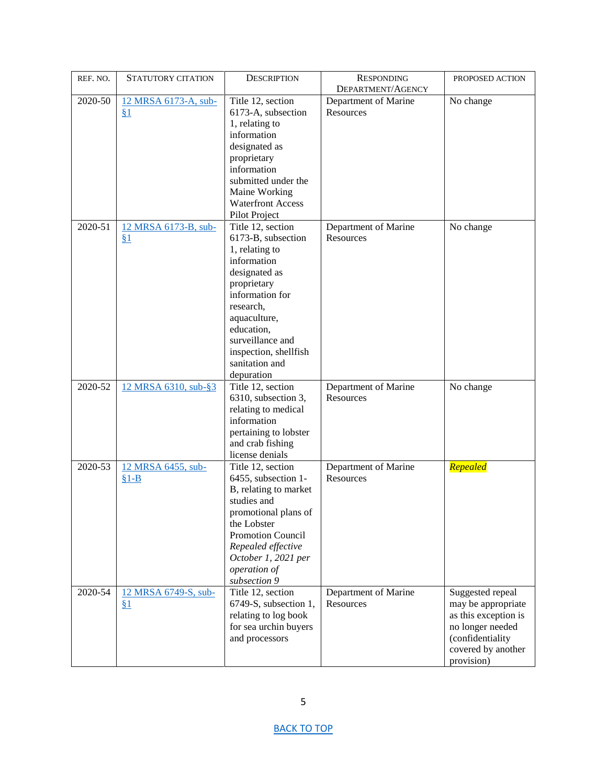| REF. NO. | STATUTORY CITATION   | <b>DESCRIPTION</b>                            | <b>RESPONDING</b>                 | PROPOSED ACTION                            |
|----------|----------------------|-----------------------------------------------|-----------------------------------|--------------------------------------------|
|          |                      |                                               | DEPARTMENT/AGENCY                 |                                            |
| 2020-50  | 12 MRSA 6173-A, sub- | Title 12, section                             | Department of Marine              | No change                                  |
|          | § <sub>1</sub>       | 6173-A, subsection                            | Resources                         |                                            |
|          |                      | 1, relating to                                |                                   |                                            |
|          |                      | information                                   |                                   |                                            |
|          |                      | designated as                                 |                                   |                                            |
|          |                      | proprietary                                   |                                   |                                            |
|          |                      | information                                   |                                   |                                            |
|          |                      | submitted under the                           |                                   |                                            |
|          |                      | Maine Working                                 |                                   |                                            |
|          |                      | <b>Waterfront Access</b>                      |                                   |                                            |
|          |                      | Pilot Project                                 |                                   |                                            |
| 2020-51  | 12 MRSA 6173-B, sub- | Title 12, section                             | Department of Marine              | No change                                  |
|          | § <sub>1</sub>       | 6173-B, subsection                            | Resources                         |                                            |
|          |                      | 1, relating to                                |                                   |                                            |
|          |                      | information                                   |                                   |                                            |
|          |                      | designated as                                 |                                   |                                            |
|          |                      | proprietary                                   |                                   |                                            |
|          |                      | information for                               |                                   |                                            |
|          |                      | research,                                     |                                   |                                            |
|          |                      | aquaculture,                                  |                                   |                                            |
|          |                      | education,<br>surveillance and                |                                   |                                            |
|          |                      | inspection, shellfish                         |                                   |                                            |
|          |                      | sanitation and                                |                                   |                                            |
|          |                      | depuration                                    |                                   |                                            |
| 2020-52  | 12 MRSA 6310, sub-§3 | Title 12, section                             | Department of Marine              | No change                                  |
|          |                      | 6310, subsection 3,                           | Resources                         |                                            |
|          |                      | relating to medical                           |                                   |                                            |
|          |                      | information                                   |                                   |                                            |
|          |                      | pertaining to lobster                         |                                   |                                            |
|          |                      | and crab fishing                              |                                   |                                            |
|          |                      | license denials                               |                                   |                                            |
| 2020-53  | 12 MRSA 6455, sub-   | Title 12, section                             | Department of Marine              | Repealed                                   |
|          | $§1 - B$             | 6455, subsection 1-                           | Resources                         |                                            |
|          |                      | B, relating to market                         |                                   |                                            |
|          |                      | studies and                                   |                                   |                                            |
|          |                      | promotional plans of                          |                                   |                                            |
|          |                      | the Lobster                                   |                                   |                                            |
|          |                      | Promotion Council                             |                                   |                                            |
|          |                      | Repealed effective                            |                                   |                                            |
|          |                      | October 1, 2021 per                           |                                   |                                            |
|          |                      | operation of                                  |                                   |                                            |
|          |                      | subsection 9                                  |                                   |                                            |
| 2020-54  | 12 MRSA 6749-S, sub- | Title 12, section                             | Department of Marine<br>Resources | Suggested repeal                           |
|          | 81                   | 6749-S, subsection 1,                         |                                   | may be appropriate<br>as this exception is |
|          |                      | relating to log book<br>for sea urchin buyers |                                   | no longer needed                           |
|          |                      | and processors                                |                                   | (confidentiality                           |
|          |                      |                                               |                                   | covered by another                         |
|          |                      |                                               |                                   | provision)                                 |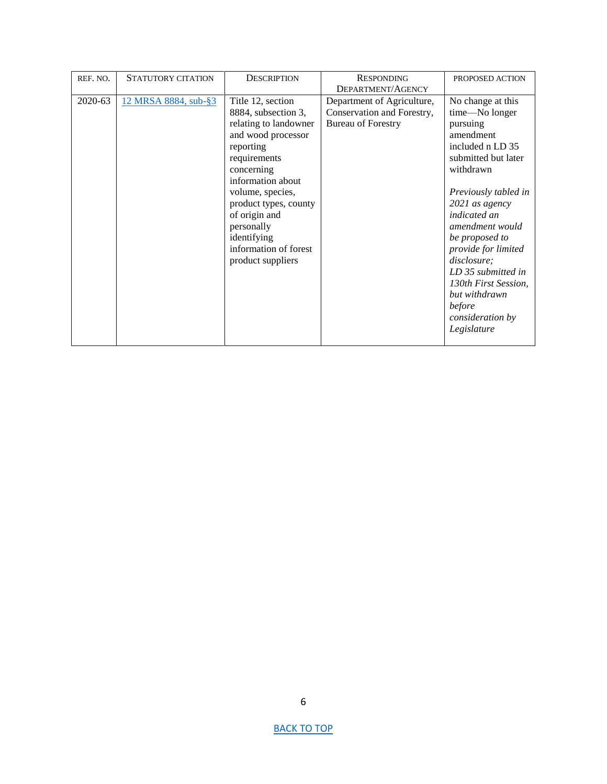| REF. NO. | <b>STATUTORY CITATION</b> | <b>DESCRIPTION</b>    | <b>RESPONDING</b>          | PROPOSED ACTION      |
|----------|---------------------------|-----------------------|----------------------------|----------------------|
|          |                           |                       | DEPARTMENT/AGENCY          |                      |
| 2020-63  | 12 MRSA 8884, sub-§3      | Title 12, section     | Department of Agriculture, | No change at this    |
|          |                           | 8884, subsection 3,   | Conservation and Forestry, | time-No longer       |
|          |                           | relating to landowner | <b>Bureau of Forestry</b>  | pursuing             |
|          |                           | and wood processor    |                            | amendment            |
|          |                           | reporting             |                            | included n LD 35     |
|          |                           | requirements          |                            | submitted but later  |
|          |                           | concerning            |                            | withdrawn            |
|          |                           | information about     |                            |                      |
|          |                           | volume, species,      |                            | Previously tabled in |
|          |                           | product types, county |                            | 2021 as agency       |
|          |                           | of origin and         |                            | <i>indicated an</i>  |
|          |                           | personally            |                            | amendment would      |
|          |                           | identifying           |                            | be proposed to       |
|          |                           | information of forest |                            | provide for limited  |
|          |                           | product suppliers     |                            | disclosure;          |
|          |                           |                       |                            | LD 35 submitted in   |
|          |                           |                       |                            | 130th First Session, |
|          |                           |                       |                            | but withdrawn        |
|          |                           |                       |                            | before               |
|          |                           |                       |                            | consideration by     |
|          |                           |                       |                            | Legislature          |
|          |                           |                       |                            |                      |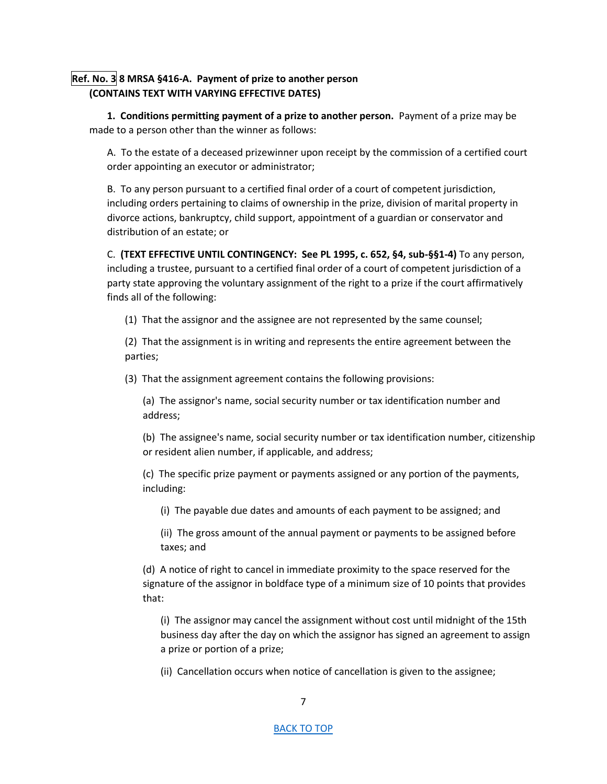# <span id="page-6-0"></span>**Ref. No. 3 8 MRSA §416-A. Payment of prize to another person (CONTAINS TEXT WITH VARYING EFFECTIVE DATES)**

**1. Conditions permitting payment of a prize to another person.** Payment of a prize may be made to a person other than the winner as follows:

A. To the estate of a deceased prizewinner upon receipt by the commission of a certified court order appointing an executor or administrator;

B. To any person pursuant to a certified final order of a court of competent jurisdiction, including orders pertaining to claims of ownership in the prize, division of marital property in divorce actions, bankruptcy, child support, appointment of a guardian or conservator and distribution of an estate; or

C. **(TEXT EFFECTIVE UNTIL CONTINGENCY: See PL 1995, c. 652, §4, sub-§§1-4)** To any person, including a trustee, pursuant to a certified final order of a court of competent jurisdiction of a party state approving the voluntary assignment of the right to a prize if the court affirmatively finds all of the following:

(1) That the assignor and the assignee are not represented by the same counsel;

(2) That the assignment is in writing and represents the entire agreement between the parties;

(3) That the assignment agreement contains the following provisions:

(a) The assignor's name, social security number or tax identification number and address;

(b) The assignee's name, social security number or tax identification number, citizenship or resident alien number, if applicable, and address;

(c) The specific prize payment or payments assigned or any portion of the payments, including:

(i) The payable due dates and amounts of each payment to be assigned; and

(ii) The gross amount of the annual payment or payments to be assigned before taxes; and

(d) A notice of right to cancel in immediate proximity to the space reserved for the signature of the assignor in boldface type of a minimum size of 10 points that provides that:

(i) The assignor may cancel the assignment without cost until midnight of the 15th business day after the day on which the assignor has signed an agreement to assign a prize or portion of a prize;

(ii) Cancellation occurs when notice of cancellation is given to the assignee;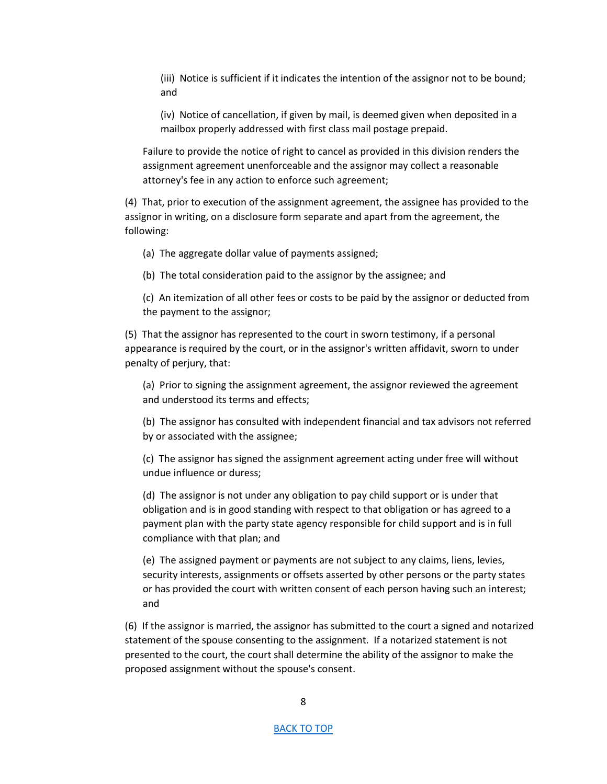(iii) Notice is sufficient if it indicates the intention of the assignor not to be bound; and

(iv) Notice of cancellation, if given by mail, is deemed given when deposited in a mailbox properly addressed with first class mail postage prepaid.

Failure to provide the notice of right to cancel as provided in this division renders the assignment agreement unenforceable and the assignor may collect a reasonable attorney's fee in any action to enforce such agreement;

(4) That, prior to execution of the assignment agreement, the assignee has provided to the assignor in writing, on a disclosure form separate and apart from the agreement, the following:

(a) The aggregate dollar value of payments assigned;

(b) The total consideration paid to the assignor by the assignee; and

(c) An itemization of all other fees or costs to be paid by the assignor or deducted from the payment to the assignor;

(5) That the assignor has represented to the court in sworn testimony, if a personal appearance is required by the court, or in the assignor's written affidavit, sworn to under penalty of perjury, that:

(a) Prior to signing the assignment agreement, the assignor reviewed the agreement and understood its terms and effects;

(b) The assignor has consulted with independent financial and tax advisors not referred by or associated with the assignee;

(c) The assignor has signed the assignment agreement acting under free will without undue influence or duress;

(d) The assignor is not under any obligation to pay child support or is under that obligation and is in good standing with respect to that obligation or has agreed to a payment plan with the party state agency responsible for child support and is in full compliance with that plan; and

(e) The assigned payment or payments are not subject to any claims, liens, levies, security interests, assignments or offsets asserted by other persons or the party states or has provided the court with written consent of each person having such an interest; and

(6) If the assignor is married, the assignor has submitted to the court a signed and notarized statement of the spouse consenting to the assignment. If a notarized statement is not presented to the court, the court shall determine the ability of the assignor to make the proposed assignment without the spouse's consent.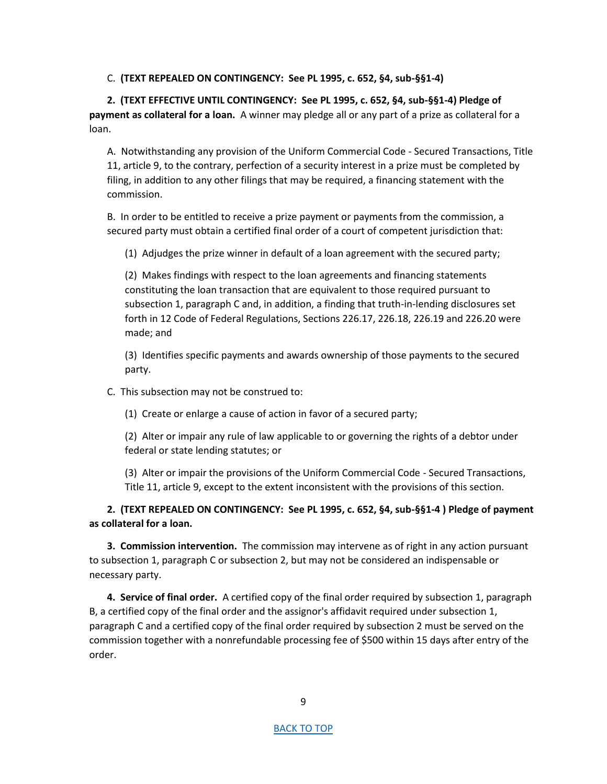C. **(TEXT REPEALED ON CONTINGENCY: See PL 1995, c. 652, §4, sub-§§1-4)** 

**2. (TEXT EFFECTIVE UNTIL CONTINGENCY: See PL 1995, c. 652, §4, sub-§§1-4) Pledge of payment as collateral for a loan.** A winner may pledge all or any part of a prize as collateral for a loan.

A. Notwithstanding any provision of the Uniform Commercial Code - Secured Transactions, Title 11, article 9, to the contrary, perfection of a security interest in a prize must be completed by filing, in addition to any other filings that may be required, a financing statement with the commission.

B. In order to be entitled to receive a prize payment or payments from the commission, a secured party must obtain a certified final order of a court of competent jurisdiction that:

(1) Adjudges the prize winner in default of a loan agreement with the secured party;

(2) Makes findings with respect to the loan agreements and financing statements constituting the loan transaction that are equivalent to those required pursuant to subsection 1, paragraph C and, in addition, a finding that truth-in-lending disclosures set forth in 12 Code of Federal Regulations, Sections 226.17, 226.18, 226.19 and 226.20 were made; and

(3) Identifies specific payments and awards ownership of those payments to the secured party.

C. This subsection may not be construed to:

(1) Create or enlarge a cause of action in favor of a secured party;

(2) Alter or impair any rule of law applicable to or governing the rights of a debtor under federal or state lending statutes; or

(3) Alter or impair the provisions of the Uniform Commercial Code - Secured Transactions, Title 11, article 9, except to the extent inconsistent with the provisions of this section.

**2. (TEXT REPEALED ON CONTINGENCY: See PL 1995, c. 652, §4, sub-§§1-4 ) Pledge of payment as collateral for a loan.** 

**3. Commission intervention.** The commission may intervene as of right in any action pursuant to subsection 1, paragraph C or subsection 2, but may not be considered an indispensable or necessary party.

**4. Service of final order.** A certified copy of the final order required by subsection 1, paragraph B, a certified copy of the final order and the assignor's affidavit required under subsection 1, paragraph C and a certified copy of the final order required by subsection 2 must be served on the commission together with a nonrefundable processing fee of \$500 within 15 days after entry of the order.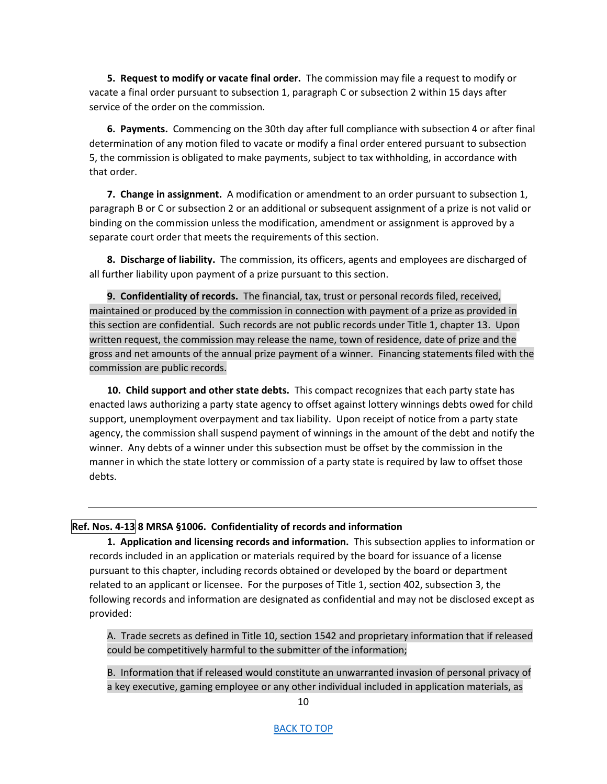**5. Request to modify or vacate final order.** The commission may file a request to modify or vacate a final order pursuant to subsection 1, paragraph C or subsection 2 within 15 days after service of the order on the commission.

**6. Payments.** Commencing on the 30th day after full compliance with subsection 4 or after final determination of any motion filed to vacate or modify a final order entered pursuant to subsection 5, the commission is obligated to make payments, subject to tax withholding, in accordance with that order.

**7. Change in assignment.** A modification or amendment to an order pursuant to subsection 1, paragraph B or C or subsection 2 or an additional or subsequent assignment of a prize is not valid or binding on the commission unless the modification, amendment or assignment is approved by a separate court order that meets the requirements of this section.

**8. Discharge of liability.** The commission, its officers, agents and employees are discharged of all further liability upon payment of a prize pursuant to this section.

**9. Confidentiality of records.** The financial, tax, trust or personal records filed, received, maintained or produced by the commission in connection with payment of a prize as provided in this section are confidential. Such records are not public records under Title 1, chapter 13. Upon written request, the commission may release the name, town of residence, date of prize and the gross and net amounts of the annual prize payment of a winner. Financing statements filed with the commission are public records.

**10. Child support and other state debts.** This compact recognizes that each party state has enacted laws authorizing a party state agency to offset against lottery winnings debts owed for child support, unemployment overpayment and tax liability. Upon receipt of notice from a party state agency, the commission shall suspend payment of winnings in the amount of the debt and notify the winner. Any debts of a winner under this subsection must be offset by the commission in the manner in which the state lottery or commission of a party state is required by law to offset those debts.

## <span id="page-9-0"></span>**Ref. Nos. 4-13 8 MRSA §1006. Confidentiality of records and information**

**1. Application and licensing records and information.** This subsection applies to information or records included in an application or materials required by the board for issuance of a license pursuant to this chapter, including records obtained or developed by the board or department related to an applicant or licensee. For the purposes of Title 1, section 402, subsection 3, the following records and information are designated as confidential and may not be disclosed except as provided:

A. Trade secrets as defined in Title 10, section 1542 and proprietary information that if released could be competitively harmful to the submitter of the information;

B. Information that if released would constitute an unwarranted invasion of personal privacy of a key executive, gaming employee or any other individual included in application materials, as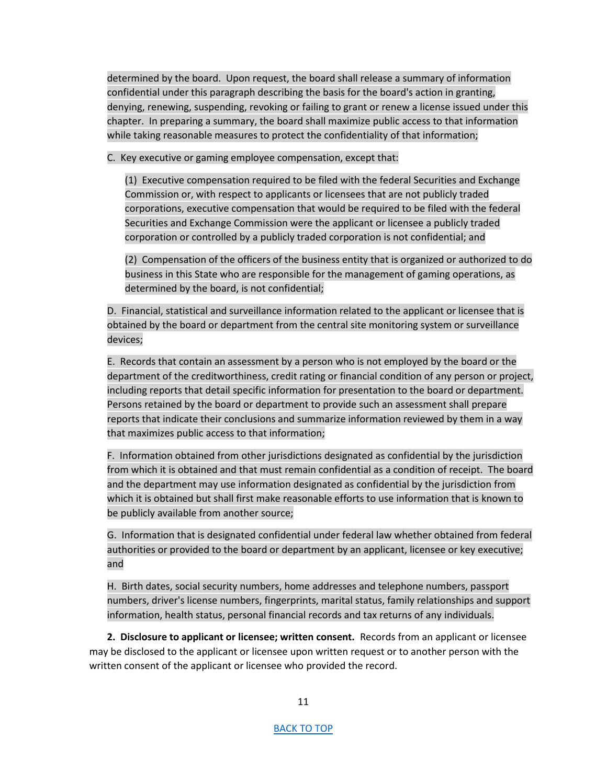determined by the board. Upon request, the board shall release a summary of information confidential under this paragraph describing the basis for the board's action in granting, denying, renewing, suspending, revoking or failing to grant or renew a license issued under this chapter. In preparing a summary, the board shall maximize public access to that information while taking reasonable measures to protect the confidentiality of that information;

C. Key executive or gaming employee compensation, except that:

(1) Executive compensation required to be filed with the federal Securities and Exchange Commission or, with respect to applicants or licensees that are not publicly traded corporations, executive compensation that would be required to be filed with the federal Securities and Exchange Commission were the applicant or licensee a publicly traded corporation or controlled by a publicly traded corporation is not confidential; and

(2) Compensation of the officers of the business entity that is organized or authorized to do business in this State who are responsible for the management of gaming operations, as determined by the board, is not confidential;

D. Financial, statistical and surveillance information related to the applicant or licensee that is<br>
obtained by the board or department from the central site monitoring system or surveillance<br>
devices;<br>
E. Records that co obtained by the board or department from the central site monitoring system or surveillance devices;

E. Records that contain an assessment by a person who is not employed by the board or the department of the creditworthiness, credit rating or financial condition of any person or project, including reports that detail specific information for presentation to the board or department. Persons retained by the board or department to provide such an assessment shall prepare reports that indicate their conclusions and summarize information reviewed by them in a way that maximizes public access to that information;

F. Information obtained from other jurisdictions designated as confidential by the jurisdiction from which it is obtained and that must remain confidential as a condition of receipt. The board and the department may use information designated as confidential by the jurisdiction from which it is obtained but shall first make reasonable efforts to use information that is known to be publicly available from another source;

G. Information that is designated confidential under federal law whether obtained from federal authorities or provided to the board or department by an applicant, licensee or key executive; and

H. Birth dates, social security numbers, home addresses and telephone numbers, passport numbers, driver's license numbers, fingerprints, marital status, family relationships and support information, health status, personal financial records and tax returns of any individuals.

**2. Disclosure to applicant or licensee; written consent.** Records from an applicant or licensee may be disclosed to the applicant or licensee upon written request or to another person with the written consent of the applicant or licensee who provided the record.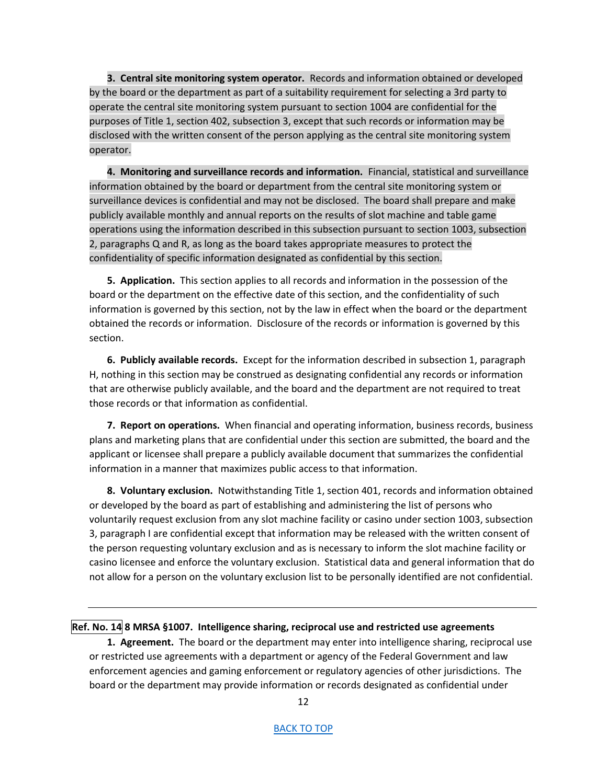**3. Central site monitoring system operator.** Records and information obtained or developed by the board or the department as part of a suitability requirement for selecting a 3rd party to operate the central site monitoring system pursuant to section 1004 are confidential for the purposes of Title 1, section 402, subsection 3, except that such records or information may be disclosed with the written consent of the person applying as the central site monitoring system operator.<br>
4. Monitoring and su disclosed with the written consent of the person applying as the central site monitoring system operator.

**4. Monitoring and surveillance records and information.** Financial, statistical and surveillance information obtained by the board or department from the central site monitoring system or surveillance devices is confidential and may not be disclosed. The board shall prepare and make publicly available monthly and annual reports on the results of slot machine and table game operations using the information described in this subsection pursuant to section 1003, subsection 2, paragraphs Q and R, as long as the board takes appropriate measures to protect the confidentiality of specific information designated as confidential by this section.

**5. Application.** This section applies to all records and information in the possession of the board or the department on the effective date of this section, and the confidentiality of such information is governed by this section, not by the law in effect when the board or the department obtained the records or information. Disclosure of the records or information is governed by this section.

**6. Publicly available records.** Except for the information described in subsection 1, paragraph H, nothing in this section may be construed as designating confidential any records or information that are otherwise publicly available, and the board and the department are not required to treat those records or that information as confidential.

**7. Report on operations.** When financial and operating information, business records, business plans and marketing plans that are confidential under this section are submitted, the board and the applicant or licensee shall prepare a publicly available document that summarizes the confidential information in a manner that maximizes public access to that information.

**8. Voluntary exclusion.** Notwithstanding Title 1, section 401, records and information obtained or developed by the board as part of establishing and administering the list of persons who voluntarily request exclusion from any slot machine facility or casino under section 1003, subsection 3, paragraph I are confidential except that information may be released with the written consent of the person requesting voluntary exclusion and as is necessary to inform the slot machine facility or casino licensee and enforce the voluntary exclusion. Statistical data and general information that do not allow for a person on the voluntary exclusion list to be personally identified are not confidential.

<span id="page-11-0"></span>**Ref. No. 14 8 MRSA §1007. Intelligence sharing, reciprocal use and restricted use agreements**

**1. Agreement.** The board or the department may enter into intelligence sharing, reciprocal use or restricted use agreements with a department or agency of the Federal Government and law enforcement agencies and gaming enforcement or regulatory agencies of other jurisdictions. The board or the department may provide information or records designated as confidential under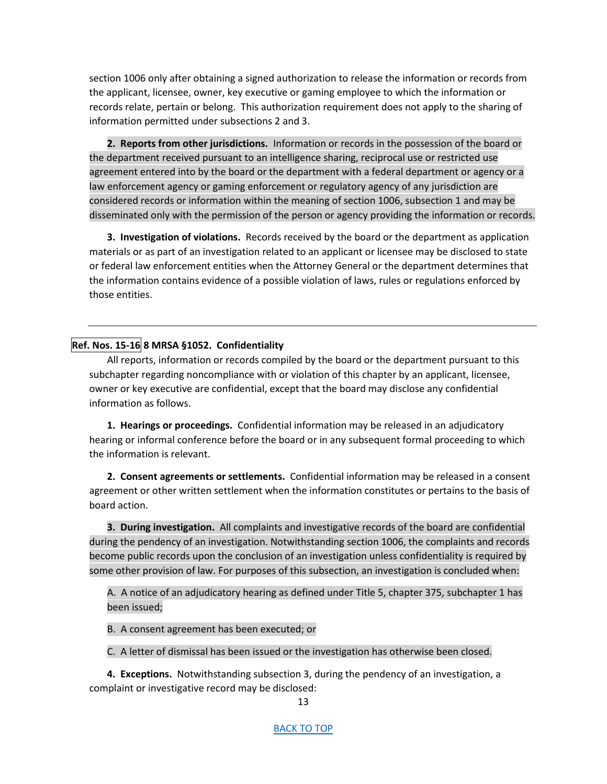section 1006 only after obtaining a signed authorization to release the information or records from the applicant, licensee, owner, key executive or gaming employee to which the information or records relate, pertain or belong. This authorization requirement does not apply to the sharing of information permitted under subsections 2 and 3.

**2. Reports from other jurisdictions.** Information or records in the possession of the board or the department received pursuant to an intelligence sharing, reciprocal use or restricted use agreement entered into by the board or the department with a federal department or agency or a law enforcement agency or gaming enforcement or regulatory agency of any jurisdiction are considered records or information within the meaning of section 1006, subsection 1 and may be disseminated only with the permission of the person or agency providing the information or records.

**3. Investigation of violations.** Records received by the board or the department as application materials or as part of an investigation related to an applicant or licensee may be disclosed to state or federal law enforcement entities when the Attorney General or the department determines that the information contains evidence of a possible violation of laws, rules or regulations enforced by those entities.

# <span id="page-12-0"></span>**Ref. Nos. 15-16 8 MRSA §1052. Confidentiality**

All reports, information or records compiled by the board or the department pursuant to this subchapter regarding noncompliance with or violation of this chapter by an applicant, licensee, owner or key executive are confidential, except that the board may disclose any confidential information as follows.

**1. Hearings or proceedings.** Confidential information may be released in an adjudicatory hearing or informal conference before the board or in any subsequent formal proceeding to which the information is relevant.

**2. Consent agreements or settlements.** Confidential information may be released in a consent agreement or other written settlement when the information constitutes or pertains to the basis of board action.

**3. During investigation.** All complaints and investigative records of the board are confidential during the pendency of an investigation. Notwithstanding section 1006, the complaints and records become public records upon the conclusion of an investigation unless confidentiality is required by some other provision of law. For purposes of this subsection, an investigation is concluded when:

A. A notice of an adjudicatory hearing as defined under Title 5, chapter 375, subchapter 1 has been issued; A. A<br>A. A<br>B. A

B. A consent agreement has been executed; or

C. A letter of dismissal has been issued or the investigation has otherwise been closed.

**4. Exceptions.** Notwithstanding subsection 3, during the pendency of an investigation, a complaint or investigative record may be disclosed: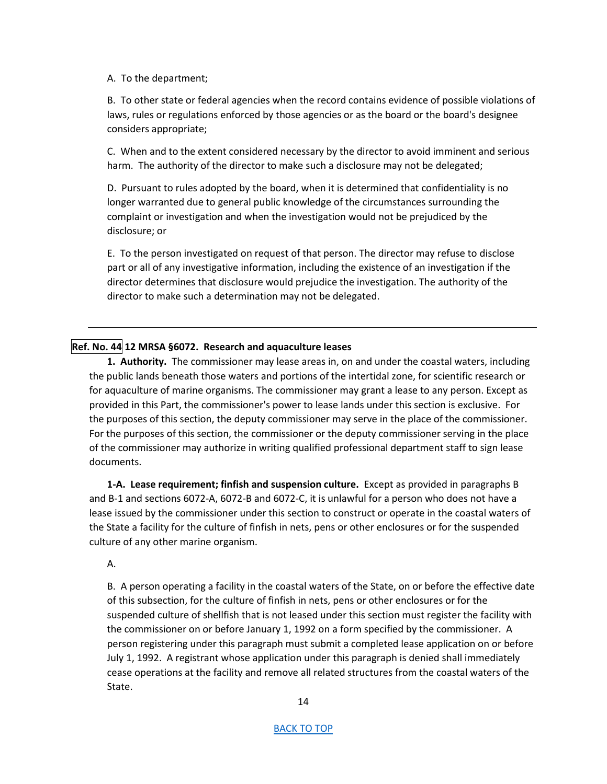#### A. To the department;

B. To other state or federal agencies when the record contains evidence of possible violations of laws, rules or regulations enforced by those agencies or as the board or the board's designee considers appropriate;

C. When and to the extent considered necessary by the director to avoid imminent and serious harm. The authority of the director to make such a disclosure may not be delegated;

D. Pursuant to rules adopted by the board, when it is determined that confidentiality is no longer warranted due to general public knowledge of the circumstances surrounding the complaint or investigation and when the investigation would not be prejudiced by the disclosure; or

E. To the person investigated on request of that person. The director may refuse to disclose part or all of any investigative information, including the existence of an investigation if the director determines that disclosure would prejudice the investigation. The authority of the director to make such a determination may not be delegated.

## <span id="page-13-0"></span>**Ref. No. 44 12 MRSA §6072. Research and aquaculture leases**

**1. Authority.** The commissioner may lease areas in, on and under the coastal waters, including the public lands beneath those waters and portions of the intertidal zone, for scientific research or for aquaculture of marine organisms. The commissioner may grant a lease to any person. Except as provided in this Part, the commissioner's power to lease lands under this section is exclusive. For the purposes of this section, the deputy commissioner may serve in the place of the commissioner. For the purposes of this section, the commissioner or the deputy commissioner serving in the place of the commissioner may authorize in writing qualified professional department staff to sign lease documents.

**1-A. Lease requirement; finfish and suspension culture.** Except as provided in paragraphs B and B-1 and sections 6072-A, 6072-B and 6072-C, it is unlawful for a person who does not have a lease issued by the commissioner under this section to construct or operate in the coastal waters of the State a facility for the culture of finfish in nets, pens or other enclosures or for the suspended culture of any other marine organism.

A.

B. A person operating a facility in the coastal waters of the State, on or before the effective date of this subsection, for the culture of finfish in nets, pens or other enclosures or for the suspended culture of shellfish that is not leased under this section must register the facility with the commissioner on or before January 1, 1992 on a form specified by the commissioner. A person registering under this paragraph must submit a completed lease application on or before July 1, 1992. A registrant whose application under this paragraph is denied shall immediately cease operations at the facility and remove all related structures from the coastal waters of the State.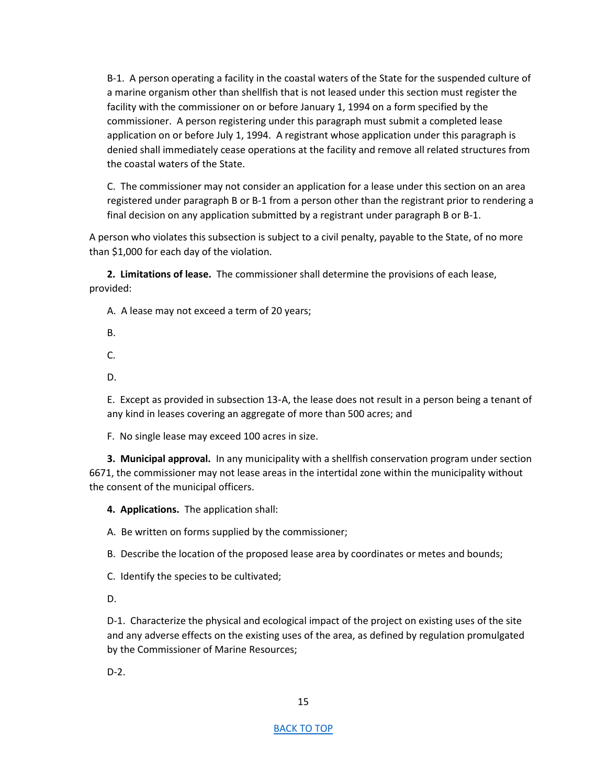B-1. A person operating a facility in the coastal waters of the State for the suspended culture of a marine organism other than shellfish that is not leased under this section must register the facility with the commissioner on or before January 1, 1994 on a form specified by the commissioner. A person registering under this paragraph must submit a completed lease application on or before July 1, 1994. A registrant whose application under this paragraph is denied shall immediately cease operations at the facility and remove all related structures from the coastal waters of the State.

C. The commissioner may not consider an application for a lease under this section on an area registered under paragraph B or B-1 from a person other than the registrant prior to rendering a final decision on any application submitted by a registrant under paragraph B or B-1.

A person who violates this subsection is subject to a civil penalty, payable to the State, of no more than \$1,000 for each day of the violation.

**2. Limitations of lease.** The commissioner shall determine the provisions of each lease, provided:

A. A lease may not exceed a term of 20 years;

B.

C.

D.

E. Except as provided in subsection 13‑A, the lease does not result in a person being a tenant of any kind in leases covering an aggregate of more than 500 acres; and

F. No single lease may exceed 100 acres in size.

**3. Municipal approval.** In any municipality with a shellfish conservation program under section 6671, the commissioner may not lease areas in the intertidal zone within the municipality without the consent of the municipal officers.

**4. Applications.** The application shall:

A. Be written on forms supplied by the commissioner;

B. Describe the location of the proposed lease area by coordinates or metes and bounds;

C. Identify the species to be cultivated;

D.

D-1. Characterize the physical and ecological impact of the project on existing uses of the site and any adverse effects on the existing uses of the area, as defined by regulation promulgated by the Commissioner of Marine Resources;

D-2.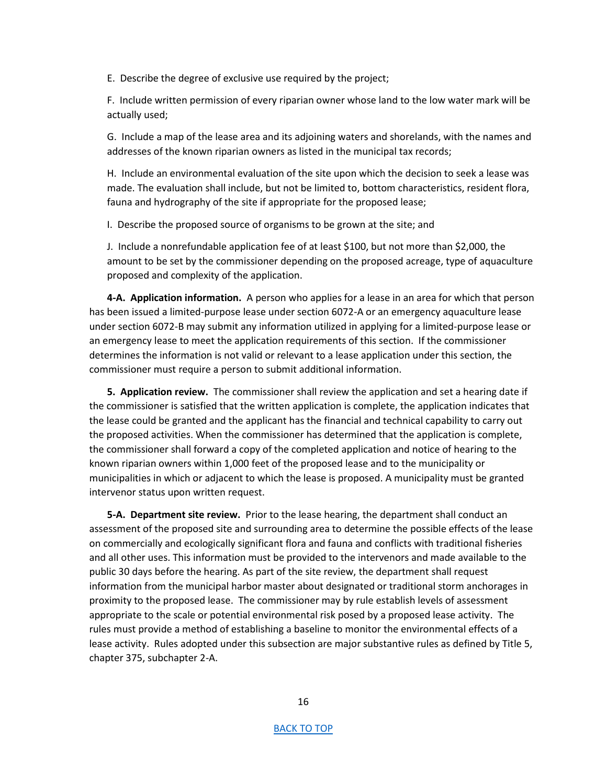E. Describe the degree of exclusive use required by the project;

F. Include written permission of every riparian owner whose land to the low water mark will be actually used;

G. Include a map of the lease area and its adjoining waters and shorelands, with the names and addresses of the known riparian owners as listed in the municipal tax records;

H. Include an environmental evaluation of the site upon which the decision to seek a lease was made. The evaluation shall include, but not be limited to, bottom characteristics, resident flora, fauna and hydrography of the site if appropriate for the proposed lease;

I. Describe the proposed source of organisms to be grown at the site; and

J. Include a nonrefundable application fee of at least \$100, but not more than \$2,000, the amount to be set by the commissioner depending on the proposed acreage, type of aquaculture proposed and complexity of the application.

**4-A. Application information.** A person who applies for a lease in an area for which that person has been issued a limited-purpose lease under section 6072-A or an emergency aquaculture lease under section 6072-B may submit any information utilized in applying for a limited-purpose lease or an emergency lease to meet the application requirements of this section. If the commissioner determines the information is not valid or relevant to a lease application under this section, the commissioner must require a person to submit additional information.

**5. Application review.** The commissioner shall review the application and set a hearing date if the commissioner is satisfied that the written application is complete, the application indicates that the lease could be granted and the applicant has the financial and technical capability to carry out the proposed activities. When the commissioner has determined that the application is complete, the commissioner shall forward a copy of the completed application and notice of hearing to the known riparian owners within 1,000 feet of the proposed lease and to the municipality or municipalities in which or adjacent to which the lease is proposed. A municipality must be granted intervenor status upon written request.

**5-A. Department site review.** Prior to the lease hearing, the department shall conduct an assessment of the proposed site and surrounding area to determine the possible effects of the lease on commercially and ecologically significant flora and fauna and conflicts with traditional fisheries and all other uses. This information must be provided to the intervenors and made available to the public 30 days before the hearing. As part of the site review, the department shall request information from the municipal harbor master about designated or traditional storm anchorages in proximity to the proposed lease. The commissioner may by rule establish levels of assessment appropriate to the scale or potential environmental risk posed by a proposed lease activity. The rules must provide a method of establishing a baseline to monitor the environmental effects of a lease activity. Rules adopted under this subsection are major substantive rules as defined by Title 5, chapter 375, subchapter 2-A.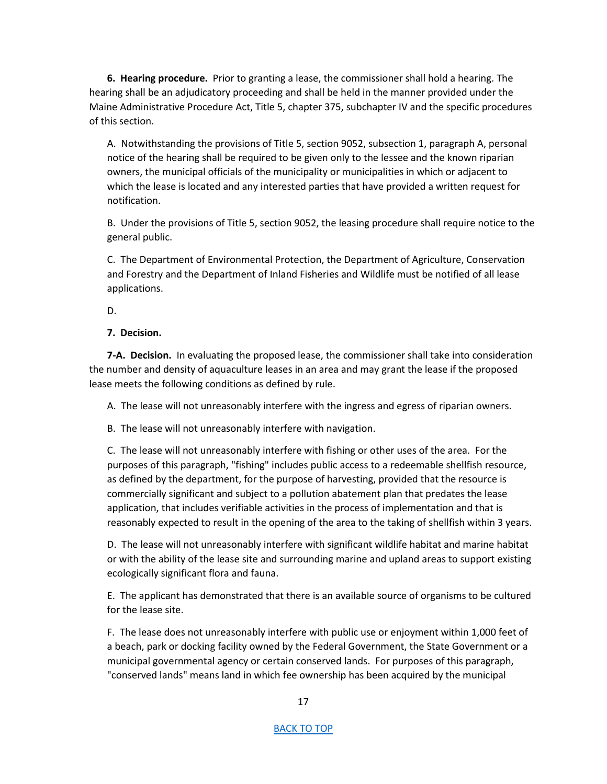**6. Hearing procedure.** Prior to granting a lease, the commissioner shall hold a hearing. The hearing shall be an adjudicatory proceeding and shall be held in the manner provided under the Maine Administrative Procedure Act, Title 5, chapter 375, subchapter IV and the specific procedures of this section.

A. Notwithstanding the provisions of Title 5, section 9052, subsection 1, paragraph A, personal notice of the hearing shall be required to be given only to the lessee and the known riparian owners, the municipal officials of the municipality or municipalities in which or adjacent to which the lease is located and any interested parties that have provided a written request for notification.

B. Under the provisions of Title 5, section 9052, the leasing procedure shall require notice to the general public.

C. The Department of Environmental Protection, the Department of Agriculture, Conservation and Forestry and the Department of Inland Fisheries and Wildlife must be notified of all lease applications.

D.

## **7. Decision.**

**7-A. Decision.** In evaluating the proposed lease, the commissioner shall take into consideration the number and density of aquaculture leases in an area and may grant the lease if the proposed lease meets the following conditions as defined by rule.

A. The lease will not unreasonably interfere with the ingress and egress of riparian owners.

B. The lease will not unreasonably interfere with navigation.

C. The lease will not unreasonably interfere with fishing or other uses of the area. For the purposes of this paragraph, "fishing" includes public access to a redeemable shellfish resource, as defined by the department, for the purpose of harvesting, provided that the resource is commercially significant and subject to a pollution abatement plan that predates the lease application, that includes verifiable activities in the process of implementation and that is reasonably expected to result in the opening of the area to the taking of shellfish within 3 years.

D. The lease will not unreasonably interfere with significant wildlife habitat and marine habitat or with the ability of the lease site and surrounding marine and upland areas to support existing ecologically significant flora and fauna.

E. The applicant has demonstrated that there is an available source of organisms to be cultured for the lease site.

F. The lease does not unreasonably interfere with public use or enjoyment within 1,000 feet of a beach, park or docking facility owned by the Federal Government, the State Government or a municipal governmental agency or certain conserved lands. For purposes of this paragraph, "conserved lands" means land in which fee ownership has been acquired by the municipal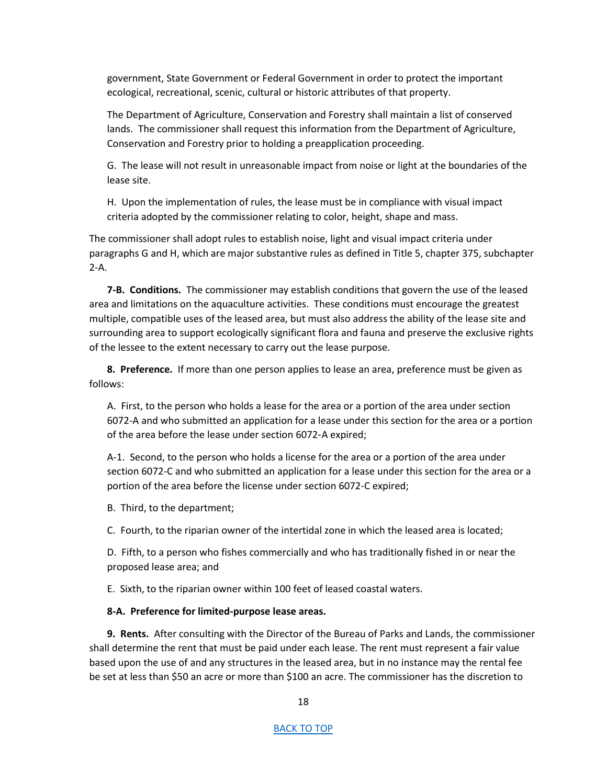government, State Government or Federal Government in order to protect the important ecological, recreational, scenic, cultural or historic attributes of that property.

The Department of Agriculture, Conservation and Forestry shall maintain a list of conserved lands. The commissioner shall request this information from the Department of Agriculture, Conservation and Forestry prior to holding a preapplication proceeding.

G. The lease will not result in unreasonable impact from noise or light at the boundaries of the lease site.

H. Upon the implementation of rules, the lease must be in compliance with visual impact criteria adopted by the commissioner relating to color, height, shape and mass.

The commissioner shall adopt rules to establish noise, light and visual impact criteria under paragraphs G and H, which are major substantive rules as defined in Title 5, chapter 375, subchapter 2-A.

**7-B. Conditions.** The commissioner may establish conditions that govern the use of the leased area and limitations on the aquaculture activities. These conditions must encourage the greatest multiple, compatible uses of the leased area, but must also address the ability of the lease site and surrounding area to support ecologically significant flora and fauna and preserve the exclusive rights of the lessee to the extent necessary to carry out the lease purpose.

**8. Preference.** If more than one person applies to lease an area, preference must be given as follows:

A. First, to the person who holds a lease for the area or a portion of the area under section 6072-A and who submitted an application for a lease under this section for the area or a portion of the area before the lease under section 6072‑A expired;

A-1. Second, to the person who holds a license for the area or a portion of the area under section 6072-C and who submitted an application for a lease under this section for the area or a portion of the area before the license under section 6072-C expired;

B. Third, to the department;

C. Fourth, to the riparian owner of the intertidal zone in which the leased area is located;

D. Fifth, to a person who fishes commercially and who has traditionally fished in or near the proposed lease area; and

E. Sixth, to the riparian owner within 100 feet of leased coastal waters.

### **8-A. Preference for limited-purpose lease areas.**

**9. Rents.** After consulting with the Director of the Bureau of Parks and Lands, the commissioner shall determine the rent that must be paid under each lease. The rent must represent a fair value based upon the use of and any structures in the leased area, but in no instance may the rental fee be set at less than \$50 an acre or more than \$100 an acre. The commissioner has the discretion to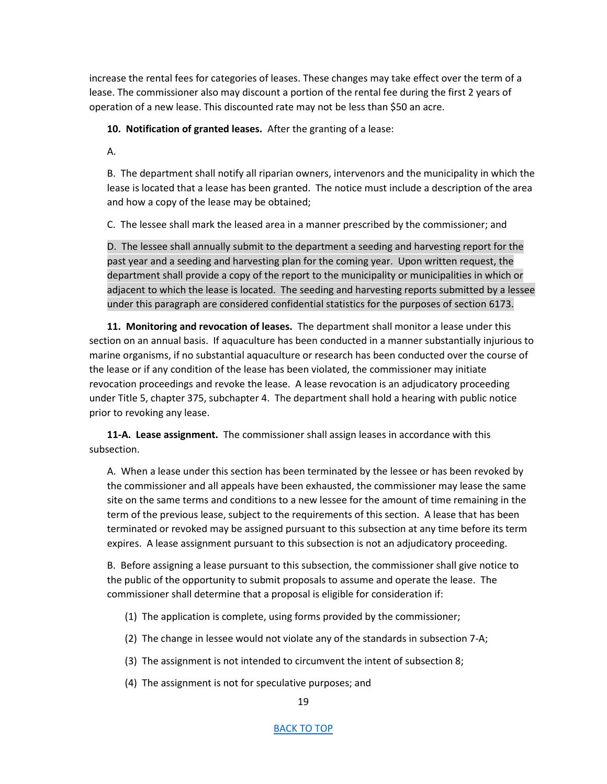increase the rental fees for categories of leases. These changes may take effect over the term of a lease. The commissioner also may discount a portion of the rental fee during the first 2 years of operation of a new lease. This discounted rate may not be less than \$50 an acre.

**10. Notification of granted leases.** After the granting of a lease:

A.

B. The department shall notify all riparian owners, intervenors and the municipality in which the lease is located that a lease has been granted. The notice must include a description of the area and how a copy of the lease may be obtained;

C. The lessee shall mark the leased area in a manner prescribed by the commissioner; and

D. The lessee shall annually submit to the department a seeding and harvesting report for the past year and a seeding and harvesting plan for the coming year. Upon written request, the department shall provide a copy of the report to the municipality or municipalities in which or adjacent to which the lease is located. The seeding and harvesting reports submitted by a lessee under this paragraph are considered confidential statistics for the purposes of section 6173.

**11. Monitoring and revocation of leases.** The department shall monitor a lease under this section on an annual basis. If aquaculture has been conducted in a manner substantially injurious to marine organisms, if no substantial aquaculture or research has been conducted over the course of the lease or if any condition of the lease has been violated, the commissioner may initiate revocation proceedings and revoke the lease. A lease revocation is an adjudicatory proceeding under Title 5, chapter 375, subchapter 4. The department shall hold a hearing with public notice prior to revoking any lease.

**11-A. Lease assignment.** The commissioner shall assign leases in accordance with this subsection.

A. When a lease under this section has been terminated by the lessee or has been revoked by the commissioner and all appeals have been exhausted, the commissioner may lease the same site on the same terms and conditions to a new lessee for the amount of time remaining in the term of the previous lease, subject to the requirements of this section. A lease that has been terminated or revoked may be assigned pursuant to this subsection at any time before its term expires. A lease assignment pursuant to this subsection is not an adjudicatory proceeding.

B. Before assigning a lease pursuant to this subsection, the commissioner shall give notice to the public of the opportunity to submit proposals to assume and operate the lease. The commissioner shall determine that a proposal is eligible for consideration if:

- (1) The application is complete, using forms provided by the commissioner;
- (2) The change in lessee would not violate any of the standards in subsection 7-A;
- (3) The assignment is not intended to circumvent the intent of subsection 8;
- (4) The assignment is not for speculative purposes; and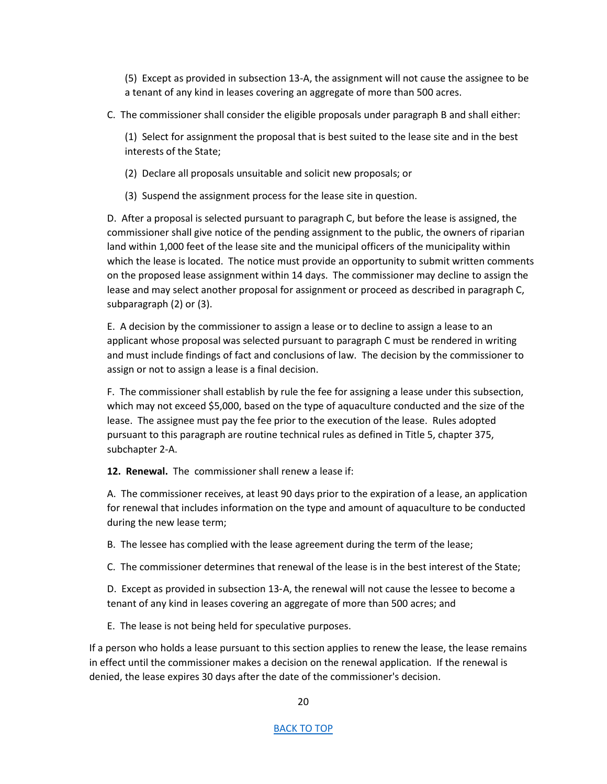(5) Except as provided in subsection 13-A, the assignment will not cause the assignee to be a tenant of any kind in leases covering an aggregate of more than 500 acres.

C. The commissioner shall consider the eligible proposals under paragraph B and shall either:

(1) Select for assignment the proposal that is best suited to the lease site and in the best interests of the State;

(2) Declare all proposals unsuitable and solicit new proposals; or

(3) Suspend the assignment process for the lease site in question.

D. After a proposal is selected pursuant to paragraph C, but before the lease is assigned, the commissioner shall give notice of the pending assignment to the public, the owners of riparian land within 1,000 feet of the lease site and the municipal officers of the municipality within which the lease is located. The notice must provide an opportunity to submit written comments on the proposed lease assignment within 14 days. The commissioner may decline to assign the lease and may select another proposal for assignment or proceed as described in paragraph C, subparagraph (2) or (3).

E. A decision by the commissioner to assign a lease or to decline to assign a lease to an applicant whose proposal was selected pursuant to paragraph C must be rendered in writing and must include findings of fact and conclusions of law. The decision by the commissioner to assign or not to assign a lease is a final decision.

F. The commissioner shall establish by rule the fee for assigning a lease under this subsection, which may not exceed \$5,000, based on the type of aquaculture conducted and the size of the lease. The assignee must pay the fee prior to the execution of the lease. Rules adopted pursuant to this paragraph are routine technical rules as defined in Title 5, chapter 375, subchapter 2-A.

**12. Renewal.** The commissioner shall renew a lease if:

A. The commissioner receives, at least 90 days prior to the expiration of a lease, an application for renewal that includes information on the type and amount of aquaculture to be conducted during the new lease term;

B. The lessee has complied with the lease agreement during the term of the lease;

C. The commissioner determines that renewal of the lease is in the best interest of the State;

D. Except as provided in subsection 13‑A, the renewal will not cause the lessee to become a tenant of any kind in leases covering an aggregate of more than 500 acres; and

E. The lease is not being held for speculative purposes.

If a person who holds a lease pursuant to this section applies to renew the lease, the lease remains in effect until the commissioner makes a decision on the renewal application. If the renewal is denied, the lease expires 30 days after the date of the commissioner's decision.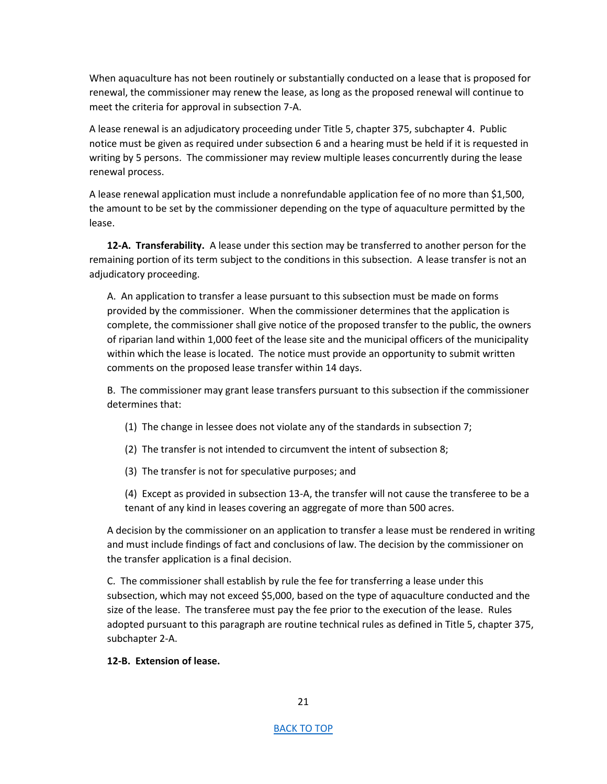When aquaculture has not been routinely or substantially conducted on a lease that is proposed for renewal, the commissioner may renew the lease, as long as the proposed renewal will continue to meet the criteria for approval in subsection 7-A.

A lease renewal is an adjudicatory proceeding under Title 5, chapter 375, subchapter 4. Public notice must be given as required under subsection 6 and a hearing must be held if it is requested in writing by 5 persons. The commissioner may review multiple leases concurrently during the lease renewal process.

A lease renewal application must include a nonrefundable application fee of no more than \$1,500, the amount to be set by the commissioner depending on the type of aquaculture permitted by the lease.

**12-A. Transferability.** A lease under this section may be transferred to another person for the remaining portion of its term subject to the conditions in this subsection. A lease transfer is not an adjudicatory proceeding.

A. An application to transfer a lease pursuant to this subsection must be made on forms provided by the commissioner. When the commissioner determines that the application is complete, the commissioner shall give notice of the proposed transfer to the public, the owners of riparian land within 1,000 feet of the lease site and the municipal officers of the municipality within which the lease is located. The notice must provide an opportunity to submit written comments on the proposed lease transfer within 14 days.

B. The commissioner may grant lease transfers pursuant to this subsection if the commissioner determines that:

- (1) The change in lessee does not violate any of the standards in subsection 7;
- (2) The transfer is not intended to circumvent the intent of subsection 8;
- (3) The transfer is not for speculative purposes; and

(4) Except as provided in subsection 13-A, the transfer will not cause the transferee to be a tenant of any kind in leases covering an aggregate of more than 500 acres.

A decision by the commissioner on an application to transfer a lease must be rendered in writing and must include findings of fact and conclusions of law. The decision by the commissioner on the transfer application is a final decision.

C. The commissioner shall establish by rule the fee for transferring a lease under this subsection, which may not exceed \$5,000, based on the type of aquaculture conducted and the size of the lease. The transferee must pay the fee prior to the execution of the lease. Rules adopted pursuant to this paragraph are routine technical rules as defined in Title 5, chapter 375, subchapter 2-A.

## **12-B. Extension of lease.**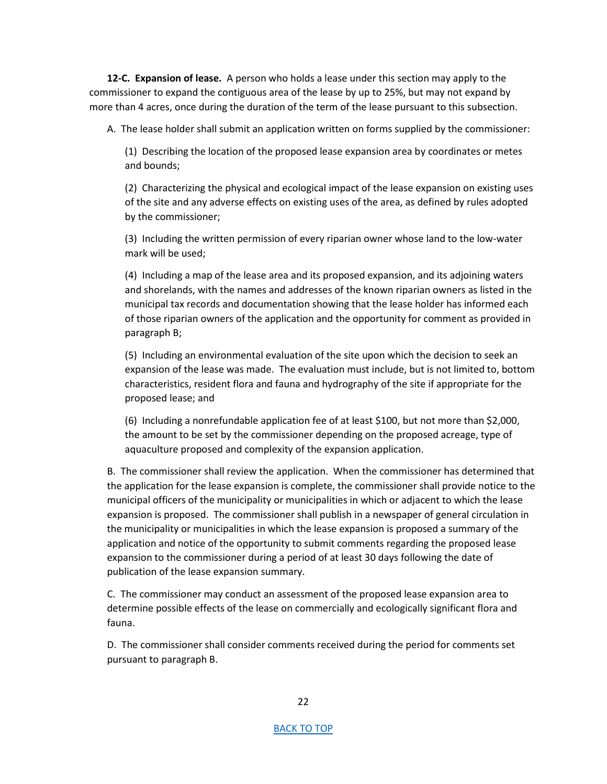**12-C. Expansion of lease.** A person who holds a lease under this section may apply to the commissioner to expand the contiguous area of the lease by up to 25%, but may not expand by more than 4 acres, once during the duration of the term of the lease pursuant to this subsection.

A. The lease holder shall submit an application written on forms supplied by the commissioner:

(1) Describing the location of the proposed lease expansion area by coordinates or metes and bounds;

(2) Characterizing the physical and ecological impact of the lease expansion on existing uses of the site and any adverse effects on existing uses of the area, as defined by rules adopted by the commissioner;

(3) Including the written permission of every riparian owner whose land to the low-water mark will be used;

(4) Including a map of the lease area and its proposed expansion, and its adjoining waters and shorelands, with the names and addresses of the known riparian owners as listed in the municipal tax records and documentation showing that the lease holder has informed each of those riparian owners of the application and the opportunity for comment as provided in paragraph B;

(5) Including an environmental evaluation of the site upon which the decision to seek an expansion of the lease was made. The evaluation must include, but is not limited to, bottom characteristics, resident flora and fauna and hydrography of the site if appropriate for the proposed lease; and

(6) Including a nonrefundable application fee of at least \$100, but not more than \$2,000, the amount to be set by the commissioner depending on the proposed acreage, type of aquaculture proposed and complexity of the expansion application.

B. The commissioner shall review the application. When the commissioner has determined that the application for the lease expansion is complete, the commissioner shall provide notice to the municipal officers of the municipality or municipalities in which or adjacent to which the lease expansion is proposed. The commissioner shall publish in a newspaper of general circulation in the municipality or municipalities in which the lease expansion is proposed a summary of the application and notice of the opportunity to submit comments regarding the proposed lease expansion to the commissioner during a period of at least 30 days following the date of publication of the lease expansion summary.

C. The commissioner may conduct an assessment of the proposed lease expansion area to determine possible effects of the lease on commercially and ecologically significant flora and fauna.

D. The commissioner shall consider comments received during the period for comments set pursuant to paragraph B.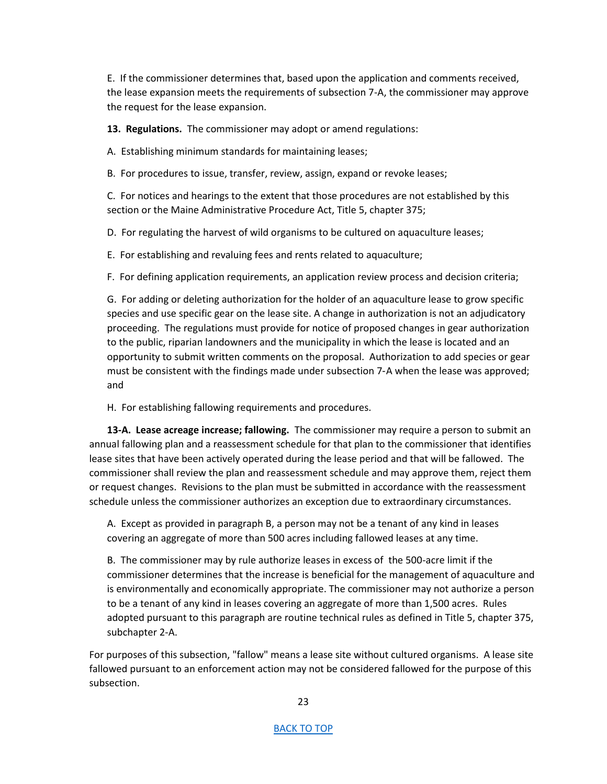E. If the commissioner determines that, based upon the application and comments received, the lease expansion meets the requirements of subsection 7-A, the commissioner may approve the request for the lease expansion.

**13. Regulations.** The commissioner may adopt or amend regulations:

A. Establishing minimum standards for maintaining leases;

B. For procedures to issue, transfer, review, assign, expand or revoke leases;

C. For notices and hearings to the extent that those procedures are not established by this section or the Maine Administrative Procedure Act, Title 5, chapter 375;

D. For regulating the harvest of wild organisms to be cultured on aquaculture leases;

E. For establishing and revaluing fees and rents related to aquaculture;

F. For defining application requirements, an application review process and decision criteria;

G. For adding or deleting authorization for the holder of an aquaculture lease to grow specific species and use specific gear on the lease site. A change in authorization is not an adjudicatory proceeding. The regulations must provide for notice of proposed changes in gear authorization to the public, riparian landowners and the municipality in which the lease is located and an opportunity to submit written comments on the proposal. Authorization to add species or gear must be consistent with the findings made under subsection 7‑A when the lease was approved; and

H. For establishing fallowing requirements and procedures.

**13-A. Lease acreage increase; fallowing.** The commissioner may require a person to submit an annual fallowing plan and a reassessment schedule for that plan to the commissioner that identifies lease sites that have been actively operated during the lease period and that will be fallowed. The commissioner shall review the plan and reassessment schedule and may approve them, reject them or request changes. Revisions to the plan must be submitted in accordance with the reassessment schedule unless the commissioner authorizes an exception due to extraordinary circumstances.

A. Except as provided in paragraph B, a person may not be a tenant of any kind in leases covering an aggregate of more than 500 acres including fallowed leases at any time.

B. The commissioner may by rule authorize leases in excess of the 500-acre limit if the commissioner determines that the increase is beneficial for the management of aquaculture and is environmentally and economically appropriate. The commissioner may not authorize a person to be a tenant of any kind in leases covering an aggregate of more than 1,500 acres. Rules adopted pursuant to this paragraph are routine technical rules as defined in Title 5, chapter 375, subchapter 2-A.

For purposes of this subsection, "fallow" means a lease site without cultured organisms. A lease site fallowed pursuant to an enforcement action may not be considered fallowed for the purpose of this subsection.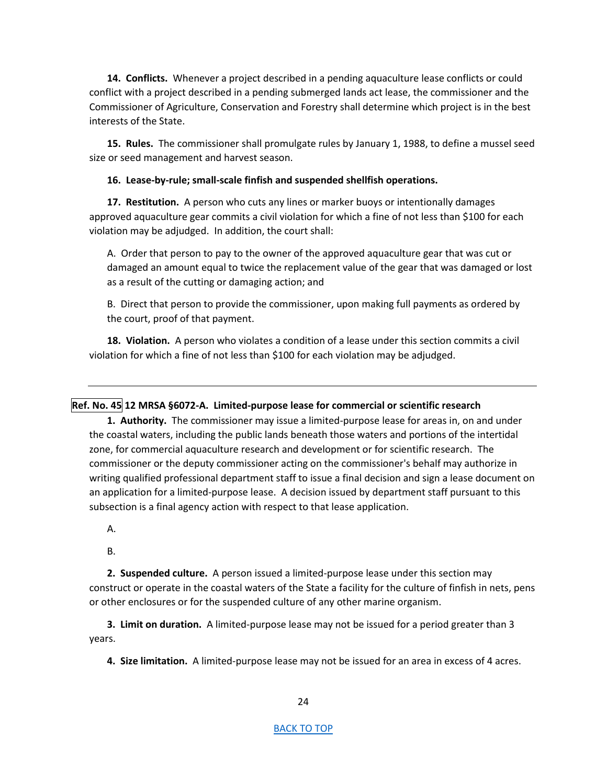**14. Conflicts.** Whenever a project described in a pending aquaculture lease conflicts or could conflict with a project described in a pending submerged lands act lease, the commissioner and the Commissioner of Agriculture, Conservation and Forestry shall determine which project is in the best interests of the State.

**15. Rules.** The commissioner shall promulgate rules by January 1, 1988, to define a mussel seed size or seed management and harvest season.

## **16. Lease-by-rule; small-scale finfish and suspended shellfish operations.**

**17. Restitution.** A person who cuts any lines or marker buoys or intentionally damages approved aquaculture gear commits a civil violation for which a fine of not less than \$100 for each violation may be adjudged. In addition, the court shall:

A. Order that person to pay to the owner of the approved aquaculture gear that was cut or damaged an amount equal to twice the replacement value of the gear that was damaged or lost as a result of the cutting or damaging action; and

B. Direct that person to provide the commissioner, upon making full payments as ordered by the court, proof of that payment.

**18. Violation.** A person who violates a condition of a lease under this section commits a civil violation for which a fine of not less than \$100 for each violation may be adjudged.

# <span id="page-23-0"></span>**Ref. No. 45 12 MRSA §6072-A. Limited-purpose lease for commercial or scientific research**

**1. Authority.** The commissioner may issue a limited-purpose lease for areas in, on and under the coastal waters, including the public lands beneath those waters and portions of the intertidal zone, for commercial aquaculture research and development or for scientific research. The commissioner or the deputy commissioner acting on the commissioner's behalf may authorize in writing qualified professional department staff to issue a final decision and sign a lease document on an application for a limited-purpose lease. A decision issued by department staff pursuant to this subsection is a final agency action with respect to that lease application.

- A.
- B.

**2. Suspended culture.** A person issued a limited-purpose lease under this section may construct or operate in the coastal waters of the State a facility for the culture of finfish in nets, pens or other enclosures or for the suspended culture of any other marine organism.

**3. Limit on duration.** A limited-purpose lease may not be issued for a period greater than 3 years.

**4. Size limitation.** A limited-purpose lease may not be issued for an area in excess of 4 acres.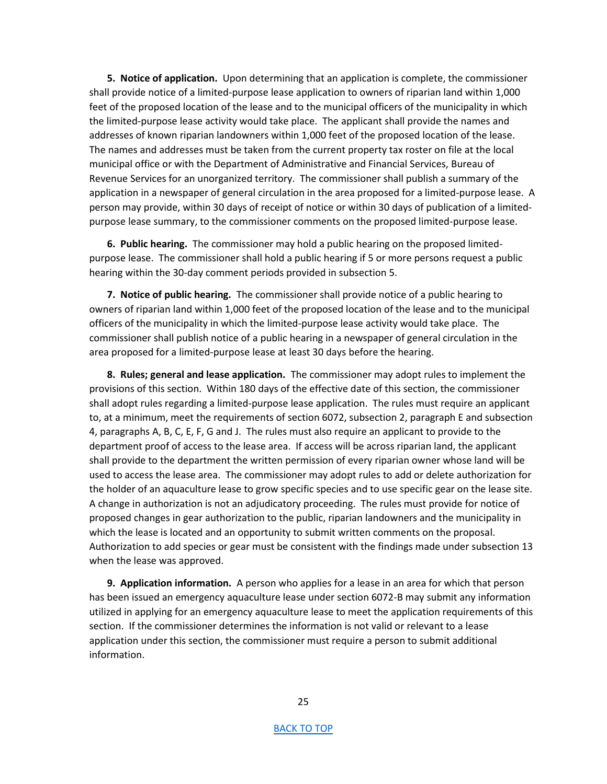**5. Notice of application.** Upon determining that an application is complete, the commissioner shall provide notice of a limited-purpose lease application to owners of riparian land within 1,000 feet of the proposed location of the lease and to the municipal officers of the municipality in which the limited-purpose lease activity would take place. The applicant shall provide the names and addresses of known riparian landowners within 1,000 feet of the proposed location of the lease. The names and addresses must be taken from the current property tax roster on file at the local municipal office or with the Department of Administrative and Financial Services, Bureau of Revenue Services for an unorganized territory. The commissioner shall publish a summary of the application in a newspaper of general circulation in the area proposed for a limited-purpose lease. A person may provide, within 30 days of receipt of notice or within 30 days of publication of a limitedpurpose lease summary, to the commissioner comments on the proposed limited-purpose lease.

**6. Public hearing.** The commissioner may hold a public hearing on the proposed limitedpurpose lease. The commissioner shall hold a public hearing if 5 or more persons request a public hearing within the 30-day comment periods provided in subsection 5.

**7. Notice of public hearing.** The commissioner shall provide notice of a public hearing to owners of riparian land within 1,000 feet of the proposed location of the lease and to the municipal officers of the municipality in which the limited-purpose lease activity would take place. The commissioner shall publish notice of a public hearing in a newspaper of general circulation in the area proposed for a limited-purpose lease at least 30 days before the hearing.

**8. Rules; general and lease application.** The commissioner may adopt rules to implement the provisions of this section. Within 180 days of the effective date of this section, the commissioner shall adopt rules regarding a limited-purpose lease application. The rules must require an applicant to, at a minimum, meet the requirements of section 6072, subsection 2, paragraph E and subsection 4, paragraphs A, B, C, E, F, G and J. The rules must also require an applicant to provide to the department proof of access to the lease area. If access will be across riparian land, the applicant shall provide to the department the written permission of every riparian owner whose land will be used to access the lease area. The commissioner may adopt rules to add or delete authorization for the holder of an aquaculture lease to grow specific species and to use specific gear on the lease site. A change in authorization is not an adjudicatory proceeding. The rules must provide for notice of proposed changes in gear authorization to the public, riparian landowners and the municipality in which the lease is located and an opportunity to submit written comments on the proposal. Authorization to add species or gear must be consistent with the findings made under subsection 13 when the lease was approved.

**9. Application information.** A person who applies for a lease in an area for which that person has been issued an emergency aquaculture lease under section 6072-B may submit any information utilized in applying for an emergency aquaculture lease to meet the application requirements of this section. If the commissioner determines the information is not valid or relevant to a lease application under this section, the commissioner must require a person to submit additional information.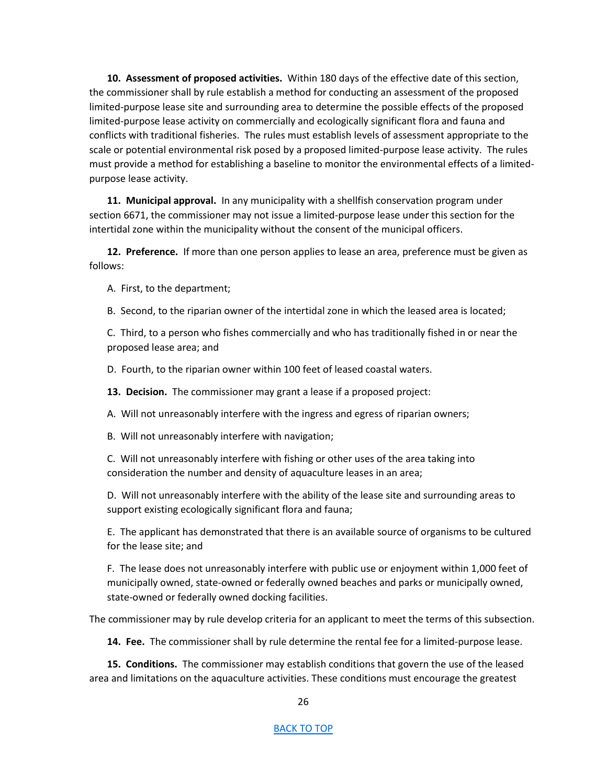**10. Assessment of proposed activities.** Within 180 days of the effective date of this section, the commissioner shall by rule establish a method for conducting an assessment of the proposed limited-purpose lease site and surrounding area to determine the possible effects of the proposed limited-purpose lease activity on commercially and ecologically significant flora and fauna and conflicts with traditional fisheries. The rules must establish levels of assessment appropriate to the scale or potential environmental risk posed by a proposed limited-purpose lease activity. The rules must provide a method for establishing a baseline to monitor the environmental effects of a limitedpurpose lease activity.

**11. Municipal approval.** In any municipality with a shellfish conservation program under section 6671, the commissioner may not issue a limited-purpose lease under this section for the intertidal zone within the municipality without the consent of the municipal officers.

**12. Preference.** If more than one person applies to lease an area, preference must be given as follows:

A. First, to the department;

B. Second, to the riparian owner of the intertidal zone in which the leased area is located;

C. Third, to a person who fishes commercially and who has traditionally fished in or near the proposed lease area; and

D. Fourth, to the riparian owner within 100 feet of leased coastal waters.

**13. Decision.** The commissioner may grant a lease if a proposed project:

A. Will not unreasonably interfere with the ingress and egress of riparian owners;

B. Will not unreasonably interfere with navigation;

C. Will not unreasonably interfere with fishing or other uses of the area taking into consideration the number and density of aquaculture leases in an area;

D. Will not unreasonably interfere with the ability of the lease site and surrounding areas to support existing ecologically significant flora and fauna;

E. The applicant has demonstrated that there is an available source of organisms to be cultured for the lease site; and

F. The lease does not unreasonably interfere with public use or enjoyment within 1,000 feet of municipally owned, state-owned or federally owned beaches and parks or municipally owned, state-owned or federally owned docking facilities.

The commissioner may by rule develop criteria for an applicant to meet the terms of this subsection.

**14. Fee.** The commissioner shall by rule determine the rental fee for a limited-purpose lease.

**15. Conditions.** The commissioner may establish conditions that govern the use of the leased area and limitations on the aquaculture activities. These conditions must encourage the greatest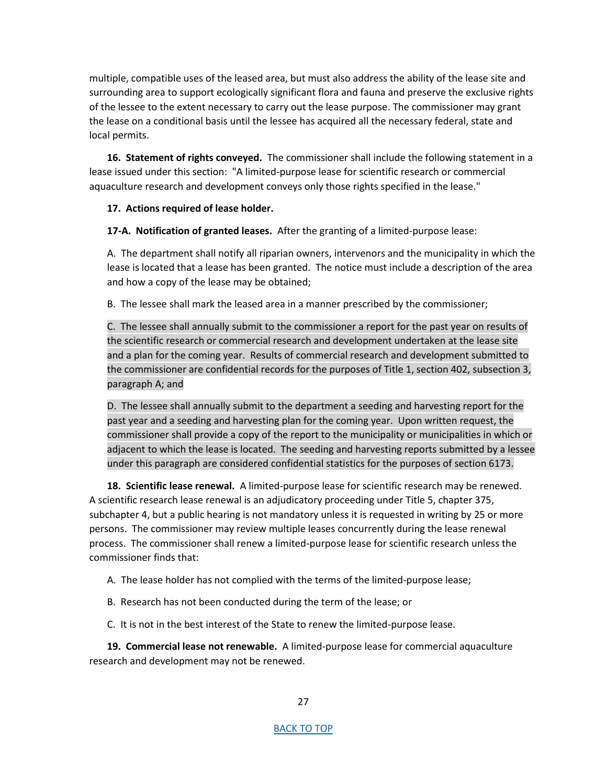multiple, compatible uses of the leased area, but must also address the ability of the lease site and surrounding area to support ecologically significant flora and fauna and preserve the exclusive rights of the lessee to the extent necessary to carry out the lease purpose. The commissioner may grant the lease on a conditional basis until the lessee has acquired all the necessary federal, state and local permits.

**16. Statement of rights conveyed.** The commissioner shall include the following statement in a lease issued under this section: "A limited-purpose lease for scientific research or commercial aquaculture research and development conveys only those rights specified in the lease."

## **17. Actions required of lease holder.**

**17-A. Notification of granted leases.** After the granting of a limited-purpose lease:

A. The department shall notify all riparian owners, intervenors and the municipality in which the lease is located that a lease has been granted. The notice must include a description of the area and how a copy of the lease may be obtained;

B. The lessee shall mark the leased area in a manner prescribed by the commissioner;

C. The lessee shall annually submit to the commissioner a report for the past year on results of the scientific research or commercial research and development undertaken at the lease site and a plan for the coming year. Results of commercial research and development submitted to the commissioner are confidential records for the purposes of Title 1, section 402, subsection 3, paragraph A; and

D. The lessee shall annually submit to the department a seeding and harvesting report for the past year and a seeding and harvesting plan for the coming year. Upon written request, the commissioner shall provide a copy of the report to the municipality or municipalities in which or adjacent to which the lease is located. The seeding and harvesting reports submitted by a lessee under this paragraph are considered confidential statistics for the purposes of section 6173.

**18. Scientific lease renewal.** A limited-purpose lease for scientific research may be renewed. A scientific research lease renewal is an adjudicatory proceeding under Title 5, chapter 375, subchapter 4, but a public hearing is not mandatory unless it is requested in writing by 25 or more persons. The commissioner may review multiple leases concurrently during the lease renewal process. The commissioner shall renew a limited-purpose lease for scientific research unless the commissioner finds that:

A. The lease holder has not complied with the terms of the limited-purpose lease;

B. Research has not been conducted during the term of the lease; or

C. It is not in the best interest of the State to renew the limited-purpose lease.

**19. Commercial lease not renewable.** A limited-purpose lease for commercial aquaculture research and development may not be renewed.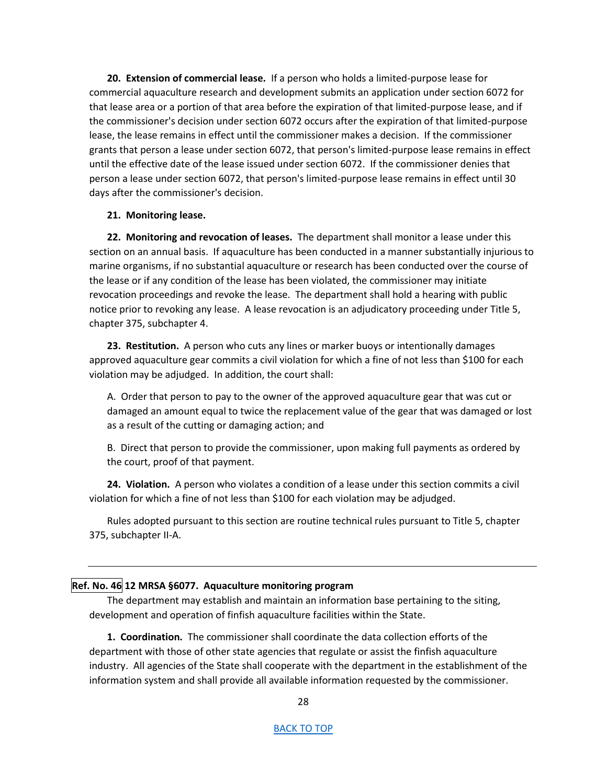**20. Extension of commercial lease.** If a person who holds a limited-purpose lease for commercial aquaculture research and development submits an application under section 6072 for that lease area or a portion of that area before the expiration of that limited-purpose lease, and if the commissioner's decision under section 6072 occurs after the expiration of that limited-purpose lease, the lease remains in effect until the commissioner makes a decision. If the commissioner grants that person a lease under section 6072, that person's limited-purpose lease remains in effect until the effective date of the lease issued under section 6072. If the commissioner denies that person a lease under section 6072, that person's limited-purpose lease remains in effect until 30 days after the commissioner's decision.

## **21. Monitoring lease.**

**22. Monitoring and revocation of leases.** The department shall monitor a lease under this section on an annual basis. If aquaculture has been conducted in a manner substantially injurious to marine organisms, if no substantial aquaculture or research has been conducted over the course of the lease or if any condition of the lease has been violated, the commissioner may initiate revocation proceedings and revoke the lease. The department shall hold a hearing with public notice prior to revoking any lease. A lease revocation is an adjudicatory proceeding under Title 5, chapter 375, subchapter 4.

**23. Restitution.** A person who cuts any lines or marker buoys or intentionally damages approved aquaculture gear commits a civil violation for which a fine of not less than \$100 for each violation may be adjudged. In addition, the court shall:

A. Order that person to pay to the owner of the approved aquaculture gear that was cut or damaged an amount equal to twice the replacement value of the gear that was damaged or lost as a result of the cutting or damaging action; and

B. Direct that person to provide the commissioner, upon making full payments as ordered by the court, proof of that payment.

**24. Violation.** A person who violates a condition of a lease under this section commits a civil violation for which a fine of not less than \$100 for each violation may be adjudged.

Rules adopted pursuant to this section are routine technical rules pursuant to Title 5, chapter 375, subchapter II-A.

## <span id="page-27-0"></span>**Ref. No. 46 12 MRSA §6077. Aquaculture monitoring program**

The department may establish and maintain an information base pertaining to the siting, development and operation of finfish aquaculture facilities within the State.

**1. Coordination.** The commissioner shall coordinate the data collection efforts of the department with those of other state agencies that regulate or assist the finfish aquaculture industry. All agencies of the State shall cooperate with the department in the establishment of the information system and shall provide all available information requested by the commissioner.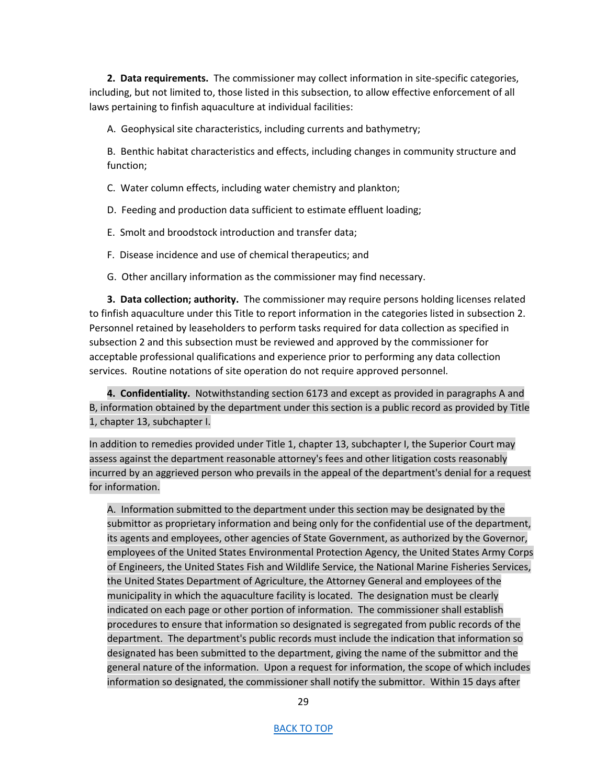**2. Data requirements.** The commissioner may collect information in site-specific categories, including, but not limited to, those listed in this subsection, to allow effective enforcement of all laws pertaining to finfish aquaculture at individual facilities:

A. Geophysical site characteristics, including currents and bathymetry;

B. Benthic habitat characteristics and effects, including changes in community structure and function;

C. Water column effects, including water chemistry and plankton;

D. Feeding and production data sufficient to estimate effluent loading;

E. Smolt and broodstock introduction and transfer data;

F. Disease incidence and use of chemical therapeutics; and

G. Other ancillary information as the commissioner may find necessary.

**3. Data collection; authority.** The commissioner may require persons holding licenses related to finfish aquaculture under this Title to report information in the categories listed in subsection 2. Personnel retained by leaseholders to perform tasks required for data collection as specified in subsection 2 and this subsection must be reviewed and approved by the commissioner for acceptable professional qualifications and experience prior to performing any data collection services. Routine notations of site operation do not require approved personnel.

**4. Confidentiality.** Notwithstanding section 6173 and except as provided in paragraphs A and B, information obtained by the department under this section is a public record as provided by Title 1, chapter 13, subchapter I.

In addition to remedies provided under Title 1, chapter 13, subchapter I, the Superior Court may assess against the department reasonable attorney's fees and other litigation costs reasonably incurred by an aggrieved person who prevails in the appeal of the department's denial for a request for information.

A. Information submitted to the department under this section may be designated by the submittor as proprietary information and being only for the confidential use of the department, its agents and employees, other agencies of State Government, as authorized by the Governor, employees of the United States Environmental Protection Agency, the United States Army Corps of Engineers, the United States Fish and Wildlife Service, the National Marine Fisheries Services, the United States Department of Agriculture, the Attorney General and employees of the municipality in which the aquaculture facility is located. The designation must be clearly indicated on each page or other portion of information. The commissioner shall establish procedures to ensure that information so designated is segregated from public records of the department. The department's public records must include the indication that information so designated has been submitted to the department, giving the name of the submittor and the general nature of the information. Upon a request for information, the scope of which includes information so designated, the commissioner shall notify the submittor. Within 15 days after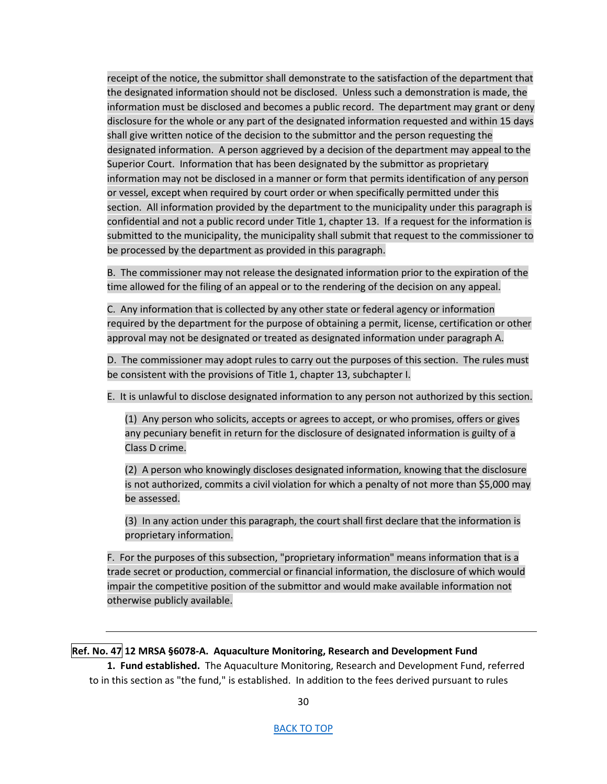receipt of the notice, the submittor shall demonstrate to the satisfaction of the department that the designated information should not be disclosed. Unless such a demonstration is made, the information must be disclosed and becomes a public record. The department may grant or deny disclosure for the whole or any part of the designated information requested and within 15 days shall give written notice of the decision to the submittor and the person requesting the designated information. A person aggrieved by a decision of the department may appeal to the Superior Court. Information that has been designated by the submittor as proprietary information may not be disclosed in a manner or form that permits identification of any person or vessel, except when required by court order or when specifically permitted under this section. All information provided by the department to the municipality under this paragraph is confidential and not a public record under Title 1, chapter 13. If a request for the information is submitted to the municipality, the municipality shall submit that request to the commissioner to be processed by the department as provided in this paragraph.

B. The commissioner may not release the designated information prior to the expiration of the time allowed for the filing of an appeal or to the rendering of the decision on any appeal.

C. Any information that is collected by any other state or federal agency or information required by the department for the purpose of obtaining a permit, license, certification or other approval may not be designated or treated as designated information under paragraph A.

D. The commissioner may adopt rules to carry out the purposes of this section. The rules must be consistent with the provisions of Title 1, chapter 13, subchapter I.

E. It is unlawful to disclose designated information to any person not authorized by this section.

(1) Any person who solicits, accepts or agrees to accept, or who promises, offers or gives any pecuniary benefit in return for the disclosure of designated information is guilty of a Class D crime.

(2) A person who knowingly discloses designated information, knowing that the disclosure is not authorized, commits a civil violation for which a penalty of not more than \$5,000 may be assessed.  $(2)$  A<br>is not<br>be as<br> $(3)$  Ir

(3) In any action under this paragraph, the court shall first declare that the information is proprietary information.

F. For the purposes of this subsection, "proprietary information" means information that is a trade secret or production, commercial or financial information, the disclosure of which would impair the competitive position of the submittor and would make available information not otherwise publicly available.

## <span id="page-29-0"></span>**Ref. No. 47 12 MRSA §6078-A. Aquaculture Monitoring, Research and Development Fund**

**1. Fund established.** The Aquaculture Monitoring, Research and Development Fund, referred to in this section as "the fund," is established. In addition to the fees derived pursuant to rules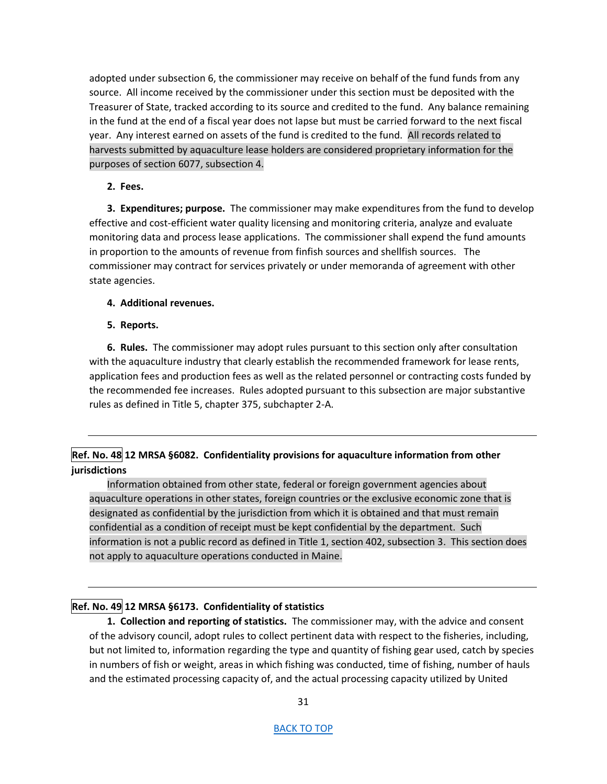adopted under subsection 6, the commissioner may receive on behalf of the fund funds from any source. All income received by the commissioner under this section must be deposited with the Treasurer of State, tracked according to its source and credited to the fund. Any balance remaining in the fund at the end of a fiscal year does not lapse but must be carried forward to the next fiscal year. Any interest earned on assets of the fund is credited to the fund. All records related to harvests submitted by aquaculture lease holders are considered proprietary information for the purposes of section 6077, subsection 4.

## **2. Fees.**

**3. Expenditures; purpose.** The commissioner may make expenditures from the fund to develop effective and cost-efficient water quality licensing and monitoring criteria, analyze and evaluate monitoring data and process lease applications. The commissioner shall expend the fund amounts in proportion to the amounts of revenue from finfish sources and shellfish sources. The commissioner may contract for services privately or under memoranda of agreement with other state agencies.

## **4. Additional revenues.**

## **5. Reports.**

**6. Rules.** The commissioner may adopt rules pursuant to this section only after consultation with the aquaculture industry that clearly establish the recommended framework for lease rents, application fees and production fees as well as the related personnel or contracting costs funded by the recommended fee increases. Rules adopted pursuant to this subsection are major substantive rules as defined in Title 5, chapter 375, subchapter 2-A.

# <span id="page-30-0"></span>**Ref. No. 48 12 MRSA §6082. Confidentiality provisions for aquaculture information from other jurisdictions**

Information obtained from other state, federal or foreign government agencies about aquaculture operations in other states, foreign countries or the exclusive economic zone that is designated as confidential by the jurisdiction from which it is obtained and that must remain confidential as a condition of receipt must be kept confidential by the department. Such information is not a public record as defined in Title 1, section 402, subsection 3. This section does not apply to aquaculture operations conducted in Maine.

# <span id="page-30-1"></span>**Ref. No. 49 12 MRSA §6173. Confidentiality of statistics**

**1. Collection and reporting of statistics.** The commissioner may, with the advice and consent of the advisory council, adopt rules to collect pertinent data with respect to the fisheries, including, but not limited to, information regarding the type and quantity of fishing gear used, catch by species in numbers of fish or weight, areas in which fishing was conducted, time of fishing, number of hauls and the estimated processing capacity of, and the actual processing capacity utilized by United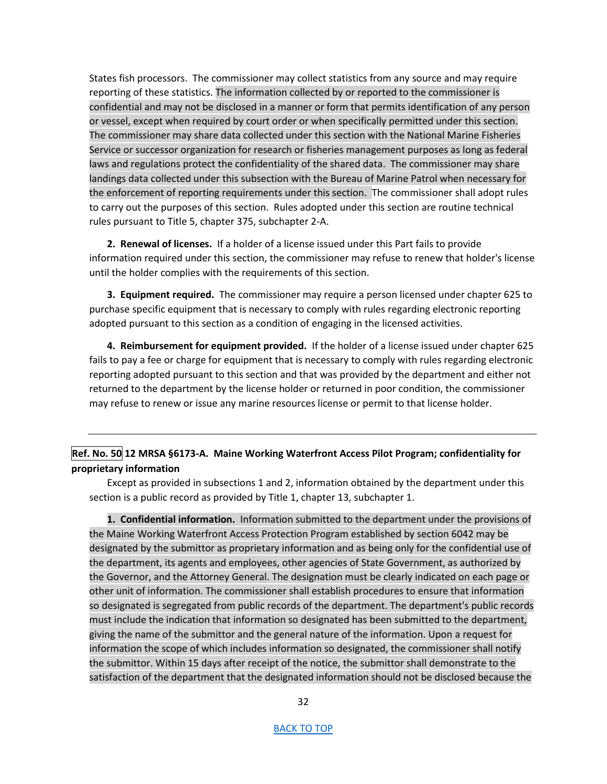States fish processors. The commissioner may collect statistics from any source and may require reporting of these statistics. The information collected by or reported to the commissioner is confidential and may not be disclosed in a manner or form that permits identification of any person or vessel, except when required by court order or when specifically permitted under this section. The commissioner may share data collected under this section with the National Marine Fisheries Service or successor organization for research or fisheries management purposes as long as federal laws and regulations protect the confidentiality of the shared data. The commissioner may share landings data collected under this subsection with the Bureau of Marine Patrol when necessary for the enforcement of reporting requirements under this section. The commissioner shall adopt rules to carry out the purposes of this section. Rules adopted under this section are routine technical rules pursuant to Title 5, chapter 375, subchapter 2-A.

**2. Renewal of licenses.** If a holder of a license issued under this Part fails to provide information required under this section, the commissioner may refuse to renew that holder's license until the holder complies with the requirements of this section.

**3. Equipment required.** The commissioner may require a person licensed under chapter 625 to purchase specific equipment that is necessary to comply with rules regarding electronic reporting adopted pursuant to this section as a condition of engaging in the licensed activities.

**4. Reimbursement for equipment provided.** If the holder of a license issued under chapter 625 fails to pay a fee or charge for equipment that is necessary to comply with rules regarding electronic reporting adopted pursuant to this section and that was provided by the department and either not returned to the department by the license holder or returned in poor condition, the commissioner may refuse to renew or issue any marine resources license or permit to that license holder.

# <span id="page-31-0"></span>**Ref. No. 50 12 MRSA §6173-A. Maine Working Waterfront Access Pilot Program; confidentiality for proprietary information**

Except as provided in subsections 1 and 2, information obtained by the department under this section is a public record as provided by Title 1, chapter 13, subchapter 1.

**1. Confidential information.** Information submitted to the department under the provisions of the Maine Working Waterfront Access Protection Program established by section 6042 may be designated by the submittor as proprietary information and as being only for the confidential use of the department, its agents and employees, other agencies of State Government, as authorized by the Governor, and the Attorney General. The designation must be clearly indicated on each page or other unit of information. The commissioner shall establish procedures to ensure that information so designated is segregated from public records of the department. The department's public records must include the indication that information so designated has been submitted to the department, giving the name of the submittor and the general nature of the information. Upon a request for information the scope of which includes information so designated, the commissioner shall notify the submittor. Within 15 days after receipt of the notice, the submittor shall demonstrate to the satisfaction of the department that the designated information should not be disclosed because the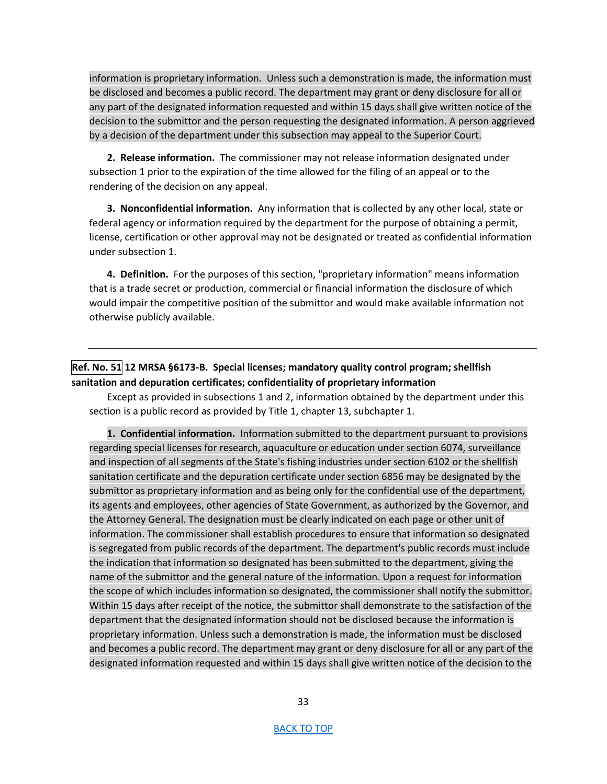information is proprietary information. Unless such a demonstration is made, the information must be disclosed and becomes a public record. The department may grant or deny disclosure for all or any part of the designated information requested and within 15 days shall give written notice of the decision to the submittor and the person requesting the designated information. A person aggrieved by a decision of the department under this subsection may appeal to the Superior Court.

**2. Release information.** The commissioner may not release information designated under subsection 1 prior to the expiration of the time allowed for the filing of an appeal or to the rendering of the decision on any appeal.

**3. Nonconfidential information.** Any information that is collected by any other local, state or federal agency or information required by the department for the purpose of obtaining a permit, license, certification or other approval may not be designated or treated as confidential information under subsection 1.

**4. Definition.** For the purposes of this section, "proprietary information" means information that is a trade secret or production, commercial or financial information the disclosure of which would impair the competitive position of the submittor and would make available information not otherwise publicly available.

# <span id="page-32-0"></span>**Ref. No. 51 12 MRSA §6173-B. Special licenses; mandatory quality control program; shellfish sanitation and depuration certificates; confidentiality of proprietary information**

Except as provided in subsections 1 and 2, information obtained by the department under this section is a public record as provided by Title 1, chapter 13, subchapter 1.

**1. Confidential information.** Information submitted to the department pursuant to provisions regarding special licenses for research, aquaculture or education under section 6074, surveillance and inspection of all segments of the State's fishing industries under section 6102 or the shellfish sanitation certificate and the depuration certificate under section 6856 may be designated by the submittor as proprietary information and as being only for the confidential use of the department, its agents and employees, other agencies of State Government, as authorized by the Governor, and the Attorney General. The designation must be clearly indicated on each page or other unit of information. The commissioner shall establish procedures to ensure that information so designated is segregated from public records of the department. The department's public records must include the indication that information so designated has been submitted to the department, giving the name of the submittor and the general nature of the information. Upon a request for information the scope of which includes information so designated, the commissioner shall notify the submittor. Within 15 days after receipt of the notice, the submittor shall demonstrate to the satisfaction of the department that the designated information should not be disclosed because the information is proprietary information. Unless such a demonstration is made, the information must be disclosed and becomes a public record. The department may grant or deny disclosure for all or any part of the designated information requested and within 15 days shall give written notice of the decision to the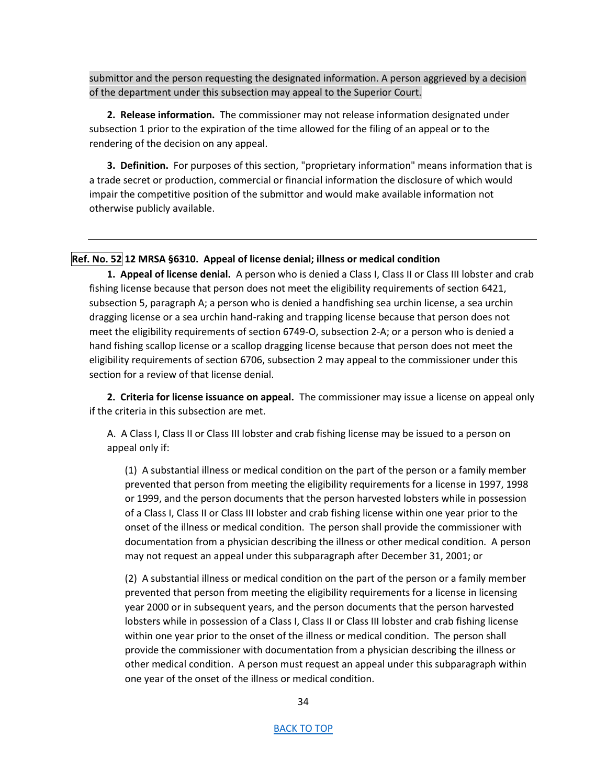submittor and the person requesting the designated information. A person aggrieved by a decision of the department under this subsection may appeal to the Superior Court.

**2. Release information.** The commissioner may not release information designated under subsection 1 prior to the expiration of the time allowed for the filing of an appeal or to the rendering of the decision on any appeal.

**3. Definition.** For purposes of this section, "proprietary information" means information that is a trade secret or production, commercial or financial information the disclosure of which would impair the competitive position of the submittor and would make available information not otherwise publicly available.

## <span id="page-33-0"></span>**Ref. No. 52 12 MRSA §6310. Appeal of license denial; illness or medical condition**

**1. Appeal of license denial.** A person who is denied a Class I, Class II or Class III lobster and crab fishing license because that person does not meet the eligibility requirements of section 6421, subsection 5, paragraph A; a person who is denied a handfishing sea urchin license, a sea urchin dragging license or a sea urchin hand-raking and trapping license because that person does not meet the eligibility requirements of section 6749-O, subsection 2-A; or a person who is denied a hand fishing scallop license or a scallop dragging license because that person does not meet the eligibility requirements of section 6706, subsection 2 may appeal to the commissioner under this section for a review of that license denial.

**2. Criteria for license issuance on appeal.** The commissioner may issue a license on appeal only if the criteria in this subsection are met.

A. A Class I, Class II or Class III lobster and crab fishing license may be issued to a person on appeal only if:

(1) A substantial illness or medical condition on the part of the person or a family member prevented that person from meeting the eligibility requirements for a license in 1997, 1998 or 1999, and the person documents that the person harvested lobsters while in possession of a Class I, Class II or Class III lobster and crab fishing license within one year prior to the onset of the illness or medical condition. The person shall provide the commissioner with documentation from a physician describing the illness or other medical condition. A person may not request an appeal under this subparagraph after December 31, 2001; or

(2) A substantial illness or medical condition on the part of the person or a family member prevented that person from meeting the eligibility requirements for a license in licensing year 2000 or in subsequent years, and the person documents that the person harvested lobsters while in possession of a Class I, Class II or Class III lobster and crab fishing license within one year prior to the onset of the illness or medical condition. The person shall provide the commissioner with documentation from a physician describing the illness or other medical condition. A person must request an appeal under this subparagraph within one year of the onset of the illness or medical condition.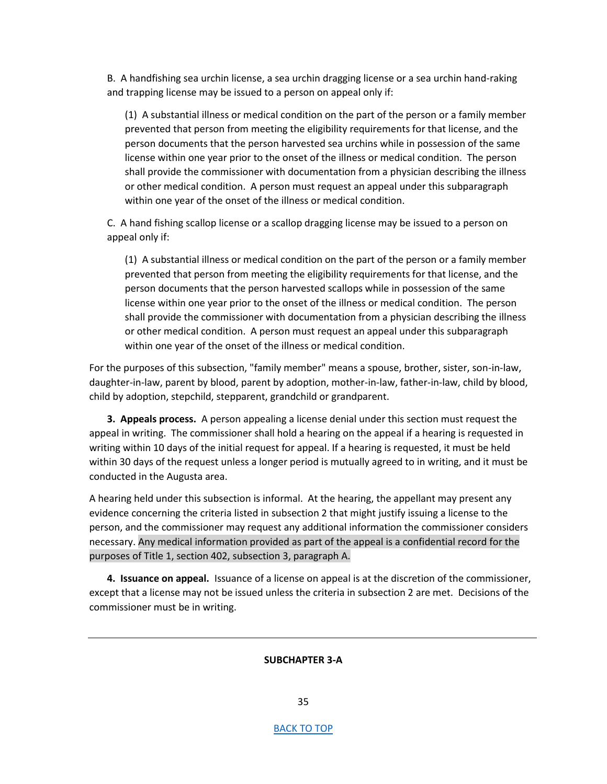B. A handfishing sea urchin license, a sea urchin dragging license or a sea urchin hand-raking and trapping license may be issued to a person on appeal only if:

(1) A substantial illness or medical condition on the part of the person or a family member prevented that person from meeting the eligibility requirements for that license, and the person documents that the person harvested sea urchins while in possession of the same license within one year prior to the onset of the illness or medical condition. The person shall provide the commissioner with documentation from a physician describing the illness or other medical condition. A person must request an appeal under this subparagraph within one year of the onset of the illness or medical condition.

C. A hand fishing scallop license or a scallop dragging license may be issued to a person on appeal only if:

(1) A substantial illness or medical condition on the part of the person or a family member prevented that person from meeting the eligibility requirements for that license, and the person documents that the person harvested scallops while in possession of the same license within one year prior to the onset of the illness or medical condition. The person shall provide the commissioner with documentation from a physician describing the illness or other medical condition. A person must request an appeal under this subparagraph within one year of the onset of the illness or medical condition.

For the purposes of this subsection, "family member" means a spouse, brother, sister, son-in-law, daughter-in-law, parent by blood, parent by adoption, mother-in-law, father-in-law, child by blood, child by adoption, stepchild, stepparent, grandchild or grandparent.

**3. Appeals process.** A person appealing a license denial under this section must request the appeal in writing. The commissioner shall hold a hearing on the appeal if a hearing is requested in writing within 10 days of the initial request for appeal. If a hearing is requested, it must be held within 30 days of the request unless a longer period is mutually agreed to in writing, and it must be conducted in the Augusta area.

A hearing held under this subsection is informal. At the hearing, the appellant may present any evidence concerning the criteria listed in subsection 2 that might justify issuing a license to the person, and the commissioner may request any additional information the commissioner considers necessary. Any medical information provided as part of the appeal is a confidential record for the purposes of Title 1, section 402, subsection 3, paragraph A.

**4. Issuance on appeal.** Issuance of a license on appeal is at the discretion of the commissioner, except that a license may not be issued unless the criteria in subsection 2 are met. Decisions of the commissioner must be in writing.

### **SUBCHAPTER 3-A**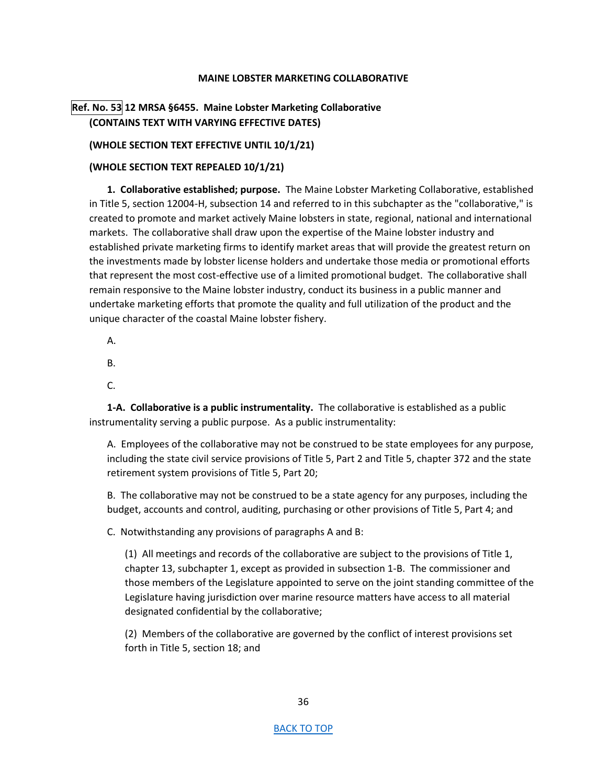## **MAINE LOBSTER MARKETING COLLABORATIVE**

# <span id="page-35-0"></span>**Ref. No. 53 12 MRSA §6455. Maine Lobster Marketing Collaborative (CONTAINS TEXT WITH VARYING EFFECTIVE DATES)**

## **(WHOLE SECTION TEXT EFFECTIVE UNTIL 10/1/21)**

## **(WHOLE SECTION TEXT REPEALED 10/1/21)**

**1. Collaborative established; purpose.** The Maine Lobster Marketing Collaborative, established in Title 5, section 12004-H, subsection 14 and referred to in this subchapter as the "collaborative," is created to promote and market actively Maine lobsters in state, regional, national and international markets. The collaborative shall draw upon the expertise of the Maine lobster industry and established private marketing firms to identify market areas that will provide the greatest return on the investments made by lobster license holders and undertake those media or promotional efforts that represent the most cost-effective use of a limited promotional budget. The collaborative shall remain responsive to the Maine lobster industry, conduct its business in a public manner and undertake marketing efforts that promote the quality and full utilization of the product and the unique character of the coastal Maine lobster fishery.

A.

B.

C.

**1-A. Collaborative is a public instrumentality.** The collaborative is established as a public instrumentality serving a public purpose. As a public instrumentality:

A. Employees of the collaborative may not be construed to be state employees for any purpose, including the state civil service provisions of Title 5, Part 2 and Title 5, chapter 372 and the state retirement system provisions of Title 5, Part 20;

B. The collaborative may not be construed to be a state agency for any purposes, including the budget, accounts and control, auditing, purchasing or other provisions of Title 5, Part 4; and

C. Notwithstanding any provisions of paragraphs A and B:

(1) All meetings and records of the collaborative are subject to the provisions of Title 1, chapter 13, subchapter 1, except as provided in subsection 1-B. The commissioner and those members of the Legislature appointed to serve on the joint standing committee of the Legislature having jurisdiction over marine resource matters have access to all material designated confidential by the collaborative;

(2) Members of the collaborative are governed by the conflict of interest provisions set forth in Title 5, section 18; and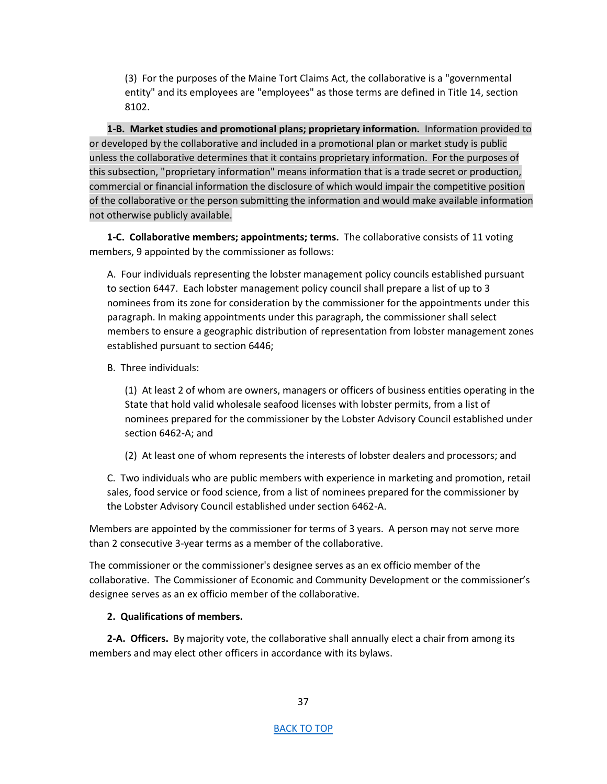(3) For the purposes of the Maine Tort Claims Act, the collaborative is a "governmental entity" and its employees are "employees" as those terms are defined in Title 14, section 8102.

**1-B. Market studies and promotional plans; proprietary information.** Information provided to or developed by the collaborative and included in a promotional plan or market study is public unless the collaborative determines that it contains proprietary information. For the purposes of this subsection, "proprietary information" means information that is a trade secret or production, commercial or financial information the disclosure of which would impair the competitive position of the collaborative or the person submitting the information and would make available information not otherwise publicly available.

**1-C. Collaborative members; appointments; terms.** The collaborative consists of 11 voting members, 9 appointed by the commissioner as follows:

A. Four individuals representing the lobster management policy councils established pursuant to section 6447. Each lobster management policy council shall prepare a list of up to 3 nominees from its zone for consideration by the commissioner for the appointments under this paragraph. In making appointments under this paragraph, the commissioner shall select members to ensure a geographic distribution of representation from lobster management zones established pursuant to section 6446;

B. Three individuals:

(1) At least 2 of whom are owners, managers or officers of business entities operating in the State that hold valid wholesale seafood licenses with lobster permits, from a list of nominees prepared for the commissioner by the Lobster Advisory Council established under section 6462-A; and

(2) At least one of whom represents the interests of lobster dealers and processors; and

C. Two individuals who are public members with experience in marketing and promotion, retail sales, food service or food science, from a list of nominees prepared for the commissioner by the Lobster Advisory Council established under section 6462-A.

Members are appointed by the commissioner for terms of 3 years. A person may not serve more than 2 consecutive 3-year terms as a member of the collaborative.

The commissioner or the commissioner's designee serves as an ex officio member of the collaborative. The Commissioner of Economic and Community Development or the commissioner's designee serves as an ex officio member of the collaborative.

#### **2. Qualifications of members.**

**2-A. Officers.** By majority vote, the collaborative shall annually elect a chair from among its members and may elect other officers in accordance with its bylaws.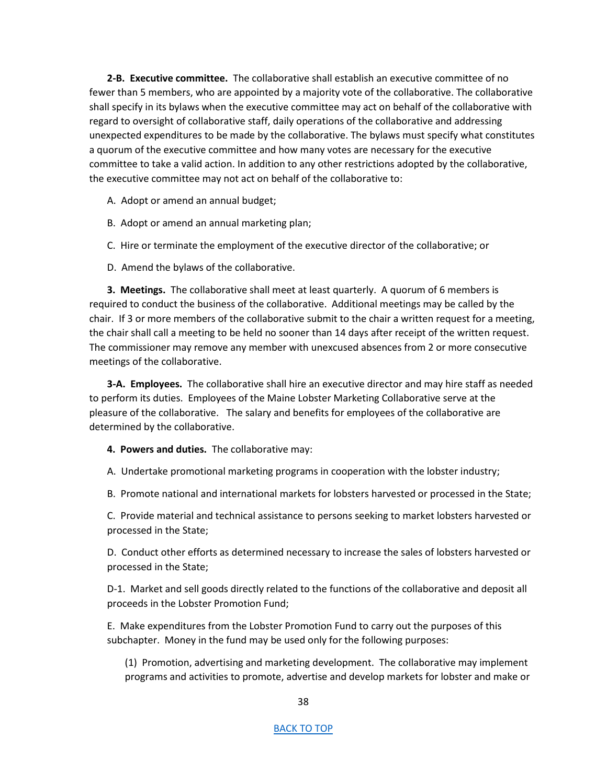**2-B. Executive committee.** The collaborative shall establish an executive committee of no fewer than 5 members, who are appointed by a majority vote of the collaborative. The collaborative shall specify in its bylaws when the executive committee may act on behalf of the collaborative with regard to oversight of collaborative staff, daily operations of the collaborative and addressing unexpected expenditures to be made by the collaborative. The bylaws must specify what constitutes a quorum of the executive committee and how many votes are necessary for the executive committee to take a valid action. In addition to any other restrictions adopted by the collaborative, the executive committee may not act on behalf of the collaborative to:

A. Adopt or amend an annual budget;

- B. Adopt or amend an annual marketing plan;
- C. Hire or terminate the employment of the executive director of the collaborative; or
- D. Amend the bylaws of the collaborative.

**3. Meetings.** The collaborative shall meet at least quarterly. A quorum of 6 members is required to conduct the business of the collaborative. Additional meetings may be called by the chair. If 3 or more members of the collaborative submit to the chair a written request for a meeting, the chair shall call a meeting to be held no sooner than 14 days after receipt of the written request. The commissioner may remove any member with unexcused absences from 2 or more consecutive meetings of the collaborative.

**3-A. Employees.** The collaborative shall hire an executive director and may hire staff as needed to perform its duties. Employees of the Maine Lobster Marketing Collaborative serve at the pleasure of the collaborative. The salary and benefits for employees of the collaborative are determined by the collaborative.

**4. Powers and duties.** The collaborative may:

A. Undertake promotional marketing programs in cooperation with the lobster industry;

B. Promote national and international markets for lobsters harvested or processed in the State;

C. Provide material and technical assistance to persons seeking to market lobsters harvested or processed in the State;

D. Conduct other efforts as determined necessary to increase the sales of lobsters harvested or processed in the State;

D-1. Market and sell goods directly related to the functions of the collaborative and deposit all proceeds in the Lobster Promotion Fund;

E. Make expenditures from the Lobster Promotion Fund to carry out the purposes of this subchapter. Money in the fund may be used only for the following purposes:

(1) Promotion, advertising and marketing development. The collaborative may implement programs and activities to promote, advertise and develop markets for lobster and make or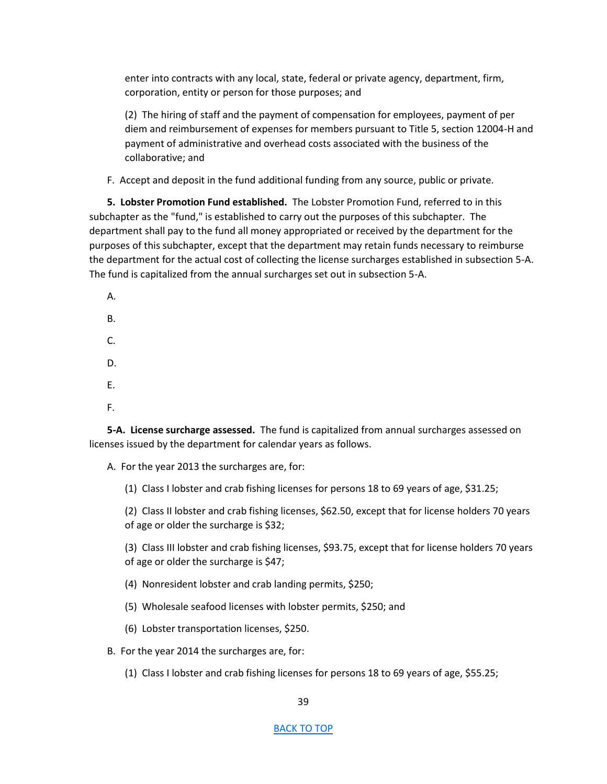enter into contracts with any local, state, federal or private agency, department, firm, corporation, entity or person for those purposes; and

(2) The hiring of staff and the payment of compensation for employees, payment of per diem and reimbursement of expenses for members pursuant to Title 5, section 12004-H and payment of administrative and overhead costs associated with the business of the collaborative; and

F. Accept and deposit in the fund additional funding from any source, public or private.

**5. Lobster Promotion Fund established.** The Lobster Promotion Fund, referred to in this subchapter as the "fund," is established to carry out the purposes of this subchapter. The department shall pay to the fund all money appropriated or received by the department for the purposes of this subchapter, except that the department may retain funds necessary to reimburse the department for the actual cost of collecting the license surcharges established in subsection 5-A. The fund is capitalized from the annual surcharges set out in subsection 5-A.

A. B. C. D. E. F.

**5-A. License surcharge assessed.** The fund is capitalized from annual surcharges assessed on licenses issued by the department for calendar years as follows.

A. For the year 2013 the surcharges are, for:

(1) Class I lobster and crab fishing licenses for persons 18 to 69 years of age, \$31.25;

(2) Class II lobster and crab fishing licenses, \$62.50, except that for license holders 70 years of age or older the surcharge is \$32;

(3) Class III lobster and crab fishing licenses, \$93.75, except that for license holders 70 years of age or older the surcharge is \$47;

- (4) Nonresident lobster and crab landing permits, \$250;
- (5) Wholesale seafood licenses with lobster permits, \$250; and
- (6) Lobster transportation licenses, \$250.
- B. For the year 2014 the surcharges are, for:
	- (1) Class I lobster and crab fishing licenses for persons 18 to 69 years of age, \$55.25;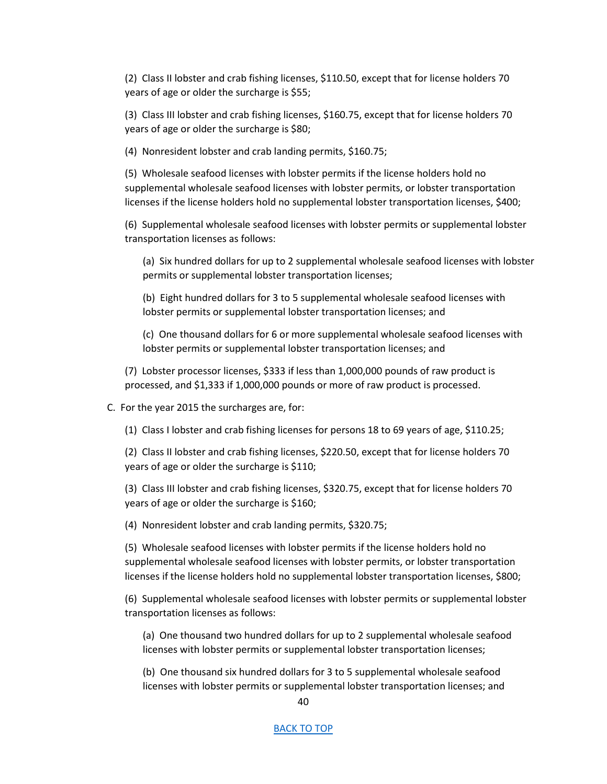(2) Class II lobster and crab fishing licenses, \$110.50, except that for license holders 70 years of age or older the surcharge is \$55;

(3) Class III lobster and crab fishing licenses, \$160.75, except that for license holders 70 years of age or older the surcharge is \$80;

(4) Nonresident lobster and crab landing permits, \$160.75;

(5) Wholesale seafood licenses with lobster permits if the license holders hold no supplemental wholesale seafood licenses with lobster permits, or lobster transportation licenses if the license holders hold no supplemental lobster transportation licenses, \$400;

(6) Supplemental wholesale seafood licenses with lobster permits or supplemental lobster transportation licenses as follows:

(a) Six hundred dollars for up to 2 supplemental wholesale seafood licenses with lobster permits or supplemental lobster transportation licenses;

(b) Eight hundred dollars for 3 to 5 supplemental wholesale seafood licenses with lobster permits or supplemental lobster transportation licenses; and

(c) One thousand dollars for 6 or more supplemental wholesale seafood licenses with lobster permits or supplemental lobster transportation licenses; and

(7) Lobster processor licenses, \$333 if less than 1,000,000 pounds of raw product is processed, and \$1,333 if 1,000,000 pounds or more of raw product is processed.

C. For the year 2015 the surcharges are, for:

(1) Class I lobster and crab fishing licenses for persons 18 to 69 years of age, \$110.25;

(2) Class II lobster and crab fishing licenses, \$220.50, except that for license holders 70 years of age or older the surcharge is \$110;

(3) Class III lobster and crab fishing licenses, \$320.75, except that for license holders 70 years of age or older the surcharge is \$160;

(4) Nonresident lobster and crab landing permits, \$320.75;

(5) Wholesale seafood licenses with lobster permits if the license holders hold no supplemental wholesale seafood licenses with lobster permits, or lobster transportation licenses if the license holders hold no supplemental lobster transportation licenses, \$800;

(6) Supplemental wholesale seafood licenses with lobster permits or supplemental lobster transportation licenses as follows:

(a) One thousand two hundred dollars for up to 2 supplemental wholesale seafood licenses with lobster permits or supplemental lobster transportation licenses;

(b) One thousand six hundred dollars for 3 to 5 supplemental wholesale seafood licenses with lobster permits or supplemental lobster transportation licenses; and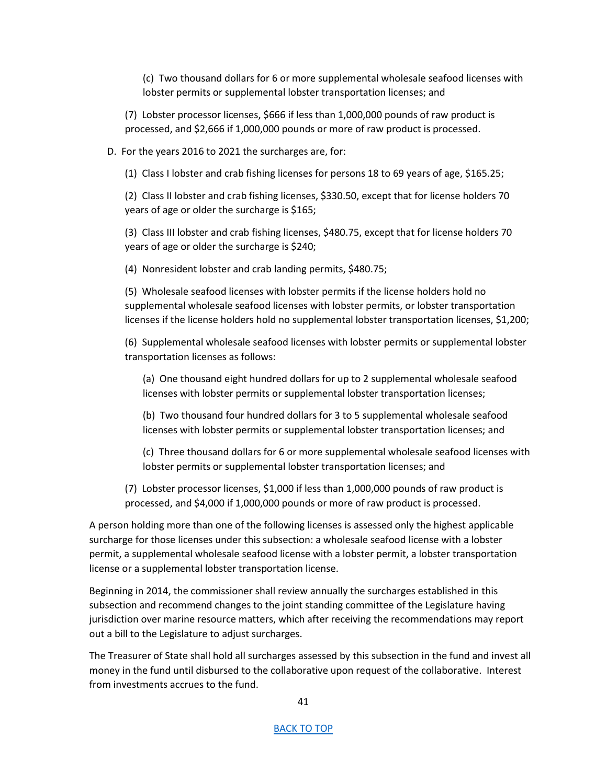(c) Two thousand dollars for 6 or more supplemental wholesale seafood licenses with lobster permits or supplemental lobster transportation licenses; and

(7) Lobster processor licenses, \$666 if less than 1,000,000 pounds of raw product is processed, and \$2,666 if 1,000,000 pounds or more of raw product is processed.

D. For the years 2016 to 2021 the surcharges are, for:

(1) Class I lobster and crab fishing licenses for persons 18 to 69 years of age, \$165.25;

(2) Class II lobster and crab fishing licenses, \$330.50, except that for license holders 70 years of age or older the surcharge is \$165;

(3) Class III lobster and crab fishing licenses, \$480.75, except that for license holders 70 years of age or older the surcharge is \$240;

(4) Nonresident lobster and crab landing permits, \$480.75;

(5) Wholesale seafood licenses with lobster permits if the license holders hold no supplemental wholesale seafood licenses with lobster permits, or lobster transportation licenses if the license holders hold no supplemental lobster transportation licenses, \$1,200;

(6) Supplemental wholesale seafood licenses with lobster permits or supplemental lobster transportation licenses as follows:

(a) One thousand eight hundred dollars for up to 2 supplemental wholesale seafood licenses with lobster permits or supplemental lobster transportation licenses;

(b) Two thousand four hundred dollars for 3 to 5 supplemental wholesale seafood licenses with lobster permits or supplemental lobster transportation licenses; and

(c) Three thousand dollars for 6 or more supplemental wholesale seafood licenses with lobster permits or supplemental lobster transportation licenses; and

(7) Lobster processor licenses, \$1,000 if less than 1,000,000 pounds of raw product is processed, and \$4,000 if 1,000,000 pounds or more of raw product is processed.

A person holding more than one of the following licenses is assessed only the highest applicable surcharge for those licenses under this subsection: a wholesale seafood license with a lobster permit, a supplemental wholesale seafood license with a lobster permit, a lobster transportation license or a supplemental lobster transportation license.

Beginning in 2014, the commissioner shall review annually the surcharges established in this subsection and recommend changes to the joint standing committee of the Legislature having jurisdiction over marine resource matters, which after receiving the recommendations may report out a bill to the Legislature to adjust surcharges.

The Treasurer of State shall hold all surcharges assessed by this subsection in the fund and invest all money in the fund until disbursed to the collaborative upon request of the collaborative. Interest from investments accrues to the fund.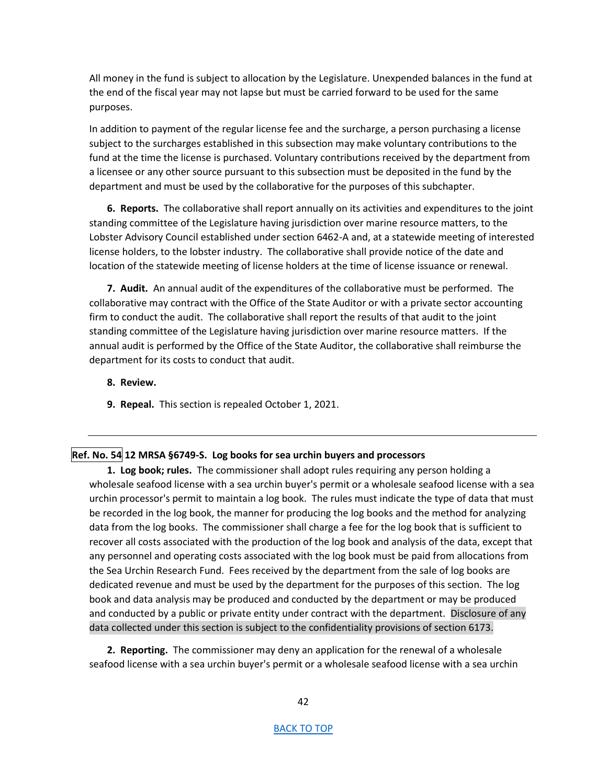All money in the fund is subject to allocation by the Legislature. Unexpended balances in the fund at the end of the fiscal year may not lapse but must be carried forward to be used for the same purposes.

In addition to payment of the regular license fee and the surcharge, a person purchasing a license subject to the surcharges established in this subsection may make voluntary contributions to the fund at the time the license is purchased. Voluntary contributions received by the department from a licensee or any other source pursuant to this subsection must be deposited in the fund by the department and must be used by the collaborative for the purposes of this subchapter.

**6. Reports.** The collaborative shall report annually on its activities and expenditures to the joint standing committee of the Legislature having jurisdiction over marine resource matters, to the Lobster Advisory Council established under section 6462-A and, at a statewide meeting of interested license holders, to the lobster industry. The collaborative shall provide notice of the date and location of the statewide meeting of license holders at the time of license issuance or renewal.

**7. Audit.** An annual audit of the expenditures of the collaborative must be performed. The collaborative may contract with the Office of the State Auditor or with a private sector accounting firm to conduct the audit. The collaborative shall report the results of that audit to the joint standing committee of the Legislature having jurisdiction over marine resource matters. If the annual audit is performed by the Office of the State Auditor, the collaborative shall reimburse the department for its costs to conduct that audit.

## **8. Review.**

**9. Repeal.** This section is repealed October 1, 2021.

## <span id="page-41-0"></span>**Ref. No. 54 12 MRSA §6749-S. Log books for sea urchin buyers and processors**

**1. Log book; rules.** The commissioner shall adopt rules requiring any person holding a wholesale seafood license with a sea urchin buyer's permit or a wholesale seafood license with a sea urchin processor's permit to maintain a log book. The rules must indicate the type of data that must be recorded in the log book, the manner for producing the log books and the method for analyzing data from the log books. The commissioner shall charge a fee for the log book that is sufficient to recover all costs associated with the production of the log book and analysis of the data, except that any personnel and operating costs associated with the log book must be paid from allocations from the Sea Urchin Research Fund. Fees received by the department from the sale of log books are dedicated revenue and must be used by the department for the purposes of this section. The log book and data analysis may be produced and conducted by the department or may be produced and conducted by a public or private entity under contract with the department. Disclosure of any data collected under this section is subject to the confidentiality provisions of section 6173.

**2. Reporting.** The commissioner may deny an application for the renewal of a wholesale seafood license with a sea urchin buyer's permit or a wholesale seafood license with a sea urchin